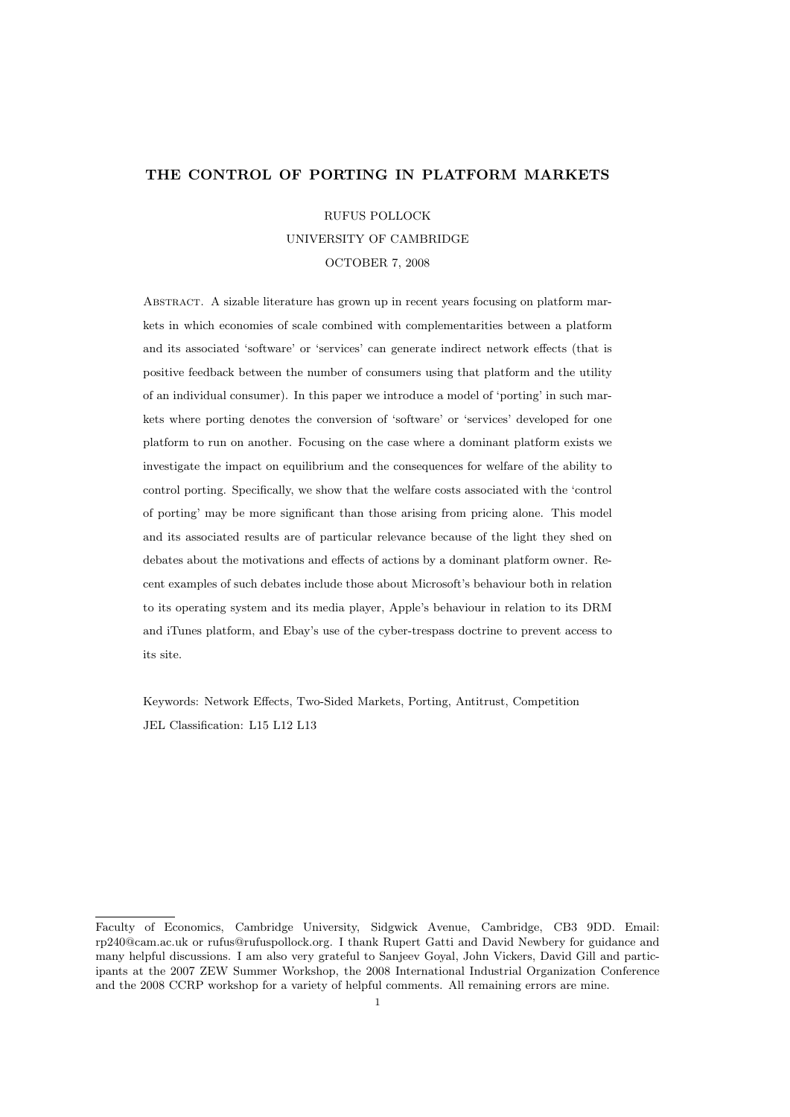## THE CONTROL OF PORTING IN PLATFORM MARKETS

RUFUS POLLOCK UNIVERSITY OF CAMBRIDGE OCTOBER 7, 2008

Abstract. A sizable literature has grown up in recent years focusing on platform markets in which economies of scale combined with complementarities between a platform and its associated 'software' or 'services' can generate indirect network effects (that is positive feedback between the number of consumers using that platform and the utility of an individual consumer). In this paper we introduce a model of 'porting' in such markets where porting denotes the conversion of 'software' or 'services' developed for one platform to run on another. Focusing on the case where a dominant platform exists we investigate the impact on equilibrium and the consequences for welfare of the ability to control porting. Specifically, we show that the welfare costs associated with the 'control of porting' may be more significant than those arising from pricing alone. This model and its associated results are of particular relevance because of the light they shed on debates about the motivations and effects of actions by a dominant platform owner. Recent examples of such debates include those about Microsoft's behaviour both in relation to its operating system and its media player, Apple's behaviour in relation to its DRM and iTunes platform, and Ebay's use of the cyber-trespass doctrine to prevent access to its site.

Keywords: Network Effects, Two-Sided Markets, Porting, Antitrust, Competition JEL Classification: L15 L12 L13

Faculty of Economics, Cambridge University, Sidgwick Avenue, Cambridge, CB3 9DD. Email: rp240@cam.ac.uk or rufus@rufuspollock.org. I thank Rupert Gatti and David Newbery for guidance and many helpful discussions. I am also very grateful to Sanjeev Goyal, John Vickers, David Gill and participants at the 2007 ZEW Summer Workshop, the 2008 International Industrial Organization Conference and the 2008 CCRP workshop for a variety of helpful comments. All remaining errors are mine.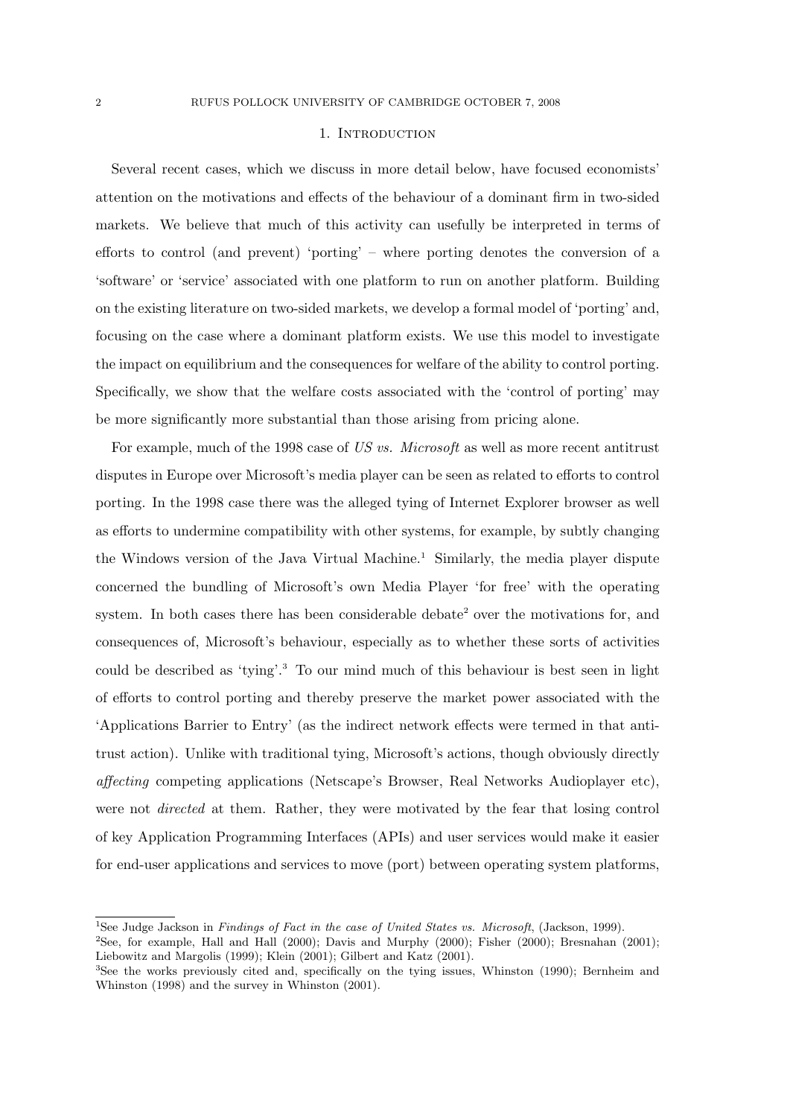### 1. INTRODUCTION

Several recent cases, which we discuss in more detail below, have focused economists' attention on the motivations and effects of the behaviour of a dominant firm in two-sided markets. We believe that much of this activity can usefully be interpreted in terms of efforts to control (and prevent) 'porting' – where porting denotes the conversion of a 'software' or 'service' associated with one platform to run on another platform. Building on the existing literature on two-sided markets, we develop a formal model of 'porting' and, focusing on the case where a dominant platform exists. We use this model to investigate the impact on equilibrium and the consequences for welfare of the ability to control porting. Specifically, we show that the welfare costs associated with the 'control of porting' may be more significantly more substantial than those arising from pricing alone.

For example, much of the 1998 case of US vs. Microsoft as well as more recent antitrust disputes in Europe over Microsoft's media player can be seen as related to efforts to control porting. In the 1998 case there was the alleged tying of Internet Explorer browser as well as efforts to undermine compatibility with other systems, for example, by subtly changing the Windows version of the Java Virtual Machine.<sup>1</sup> Similarly, the media player dispute concerned the bundling of Microsoft's own Media Player 'for free' with the operating system. In both cases there has been considerable debate<sup>2</sup> over the motivations for, and consequences of, Microsoft's behaviour, especially as to whether these sorts of activities could be described as 'tying'.<sup>3</sup> To our mind much of this behaviour is best seen in light of efforts to control porting and thereby preserve the market power associated with the 'Applications Barrier to Entry' (as the indirect network effects were termed in that antitrust action). Unlike with traditional tying, Microsoft's actions, though obviously directly affecting competing applications (Netscape's Browser, Real Networks Audioplayer etc), were not *directed* at them. Rather, they were motivated by the fear that losing control of key Application Programming Interfaces (APIs) and user services would make it easier for end-user applications and services to move (port) between operating system platforms,

<sup>1</sup>See Judge Jackson in Findings of Fact in the case of United States vs. Microsoft, (Jackson, 1999).

<sup>2</sup>See, for example, Hall and Hall (2000); Davis and Murphy (2000); Fisher (2000); Bresnahan (2001); Liebowitz and Margolis (1999); Klein (2001); Gilbert and Katz (2001).

<sup>3</sup>See the works previously cited and, specifically on the tying issues, Whinston (1990); Bernheim and Whinston (1998) and the survey in Whinston (2001).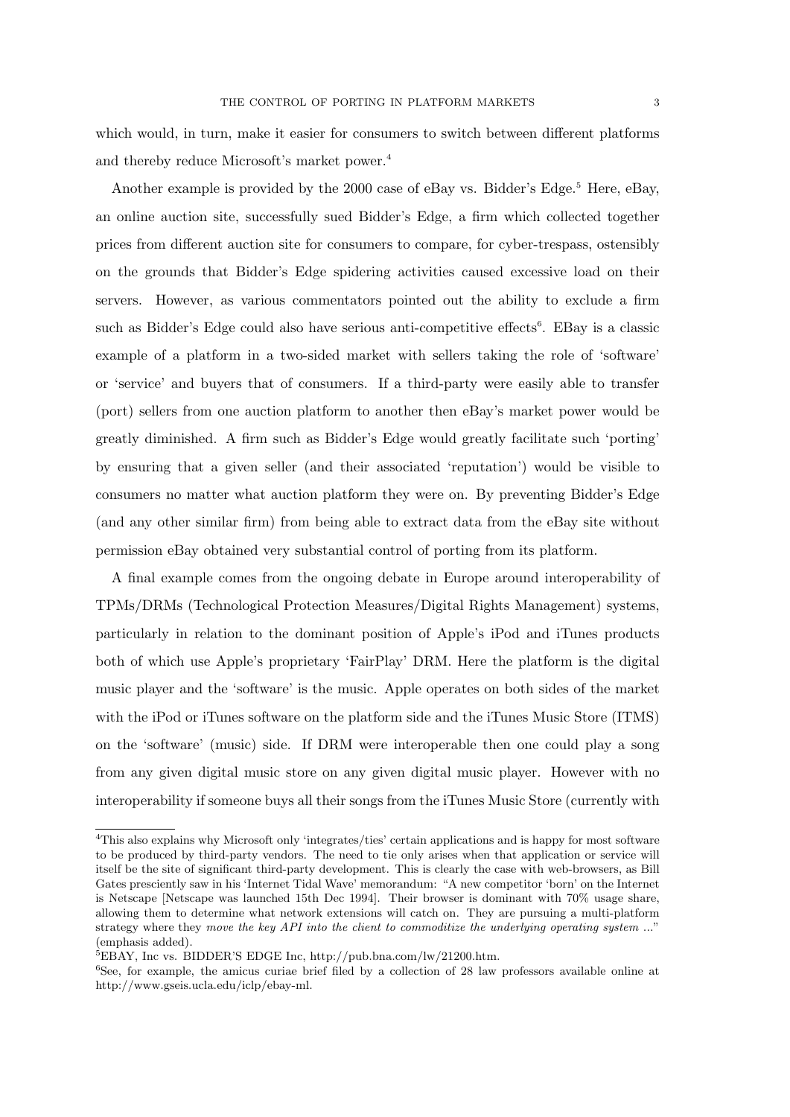which would, in turn, make it easier for consumers to switch between different platforms and thereby reduce Microsoft's market power.<sup>4</sup>

Another example is provided by the 2000 case of eBay vs. Bidder's Edge.<sup>5</sup> Here, eBay, an online auction site, successfully sued Bidder's Edge, a firm which collected together prices from different auction site for consumers to compare, for cyber-trespass, ostensibly on the grounds that Bidder's Edge spidering activities caused excessive load on their servers. However, as various commentators pointed out the ability to exclude a firm such as Bidder's Edge could also have serious anti-competitive effects<sup>6</sup>. EBay is a classic example of a platform in a two-sided market with sellers taking the role of 'software' or 'service' and buyers that of consumers. If a third-party were easily able to transfer (port) sellers from one auction platform to another then eBay's market power would be greatly diminished. A firm such as Bidder's Edge would greatly facilitate such 'porting' by ensuring that a given seller (and their associated 'reputation') would be visible to consumers no matter what auction platform they were on. By preventing Bidder's Edge (and any other similar firm) from being able to extract data from the eBay site without permission eBay obtained very substantial control of porting from its platform.

A final example comes from the ongoing debate in Europe around interoperability of TPMs/DRMs (Technological Protection Measures/Digital Rights Management) systems, particularly in relation to the dominant position of Apple's iPod and iTunes products both of which use Apple's proprietary 'FairPlay' DRM. Here the platform is the digital music player and the 'software' is the music. Apple operates on both sides of the market with the iPod or iTunes software on the platform side and the iTunes Music Store (ITMS) on the 'software' (music) side. If DRM were interoperable then one could play a song from any given digital music store on any given digital music player. However with no interoperability if someone buys all their songs from the iTunes Music Store (currently with

<sup>4</sup>This also explains why Microsoft only 'integrates/ties' certain applications and is happy for most software to be produced by third-party vendors. The need to tie only arises when that application or service will itself be the site of significant third-party development. This is clearly the case with web-browsers, as Bill Gates presciently saw in his 'Internet Tidal Wave' memorandum: "A new competitor 'born' on the Internet is Netscape [Netscape was launched 15th Dec 1994]. Their browser is dominant with 70% usage share, allowing them to determine what network extensions will catch on. They are pursuing a multi-platform strategy where they move the key API into the client to commoditize the underlying operating system ..." (emphasis added).

<sup>5</sup>EBAY, Inc vs. BIDDER'S EDGE Inc, http://pub.bna.com/lw/21200.htm.

<sup>&</sup>lt;sup>6</sup>See, for example, the amicus curiae brief filed by a collection of 28 law professors available online at http://www.gseis.ucla.edu/iclp/ebay-ml.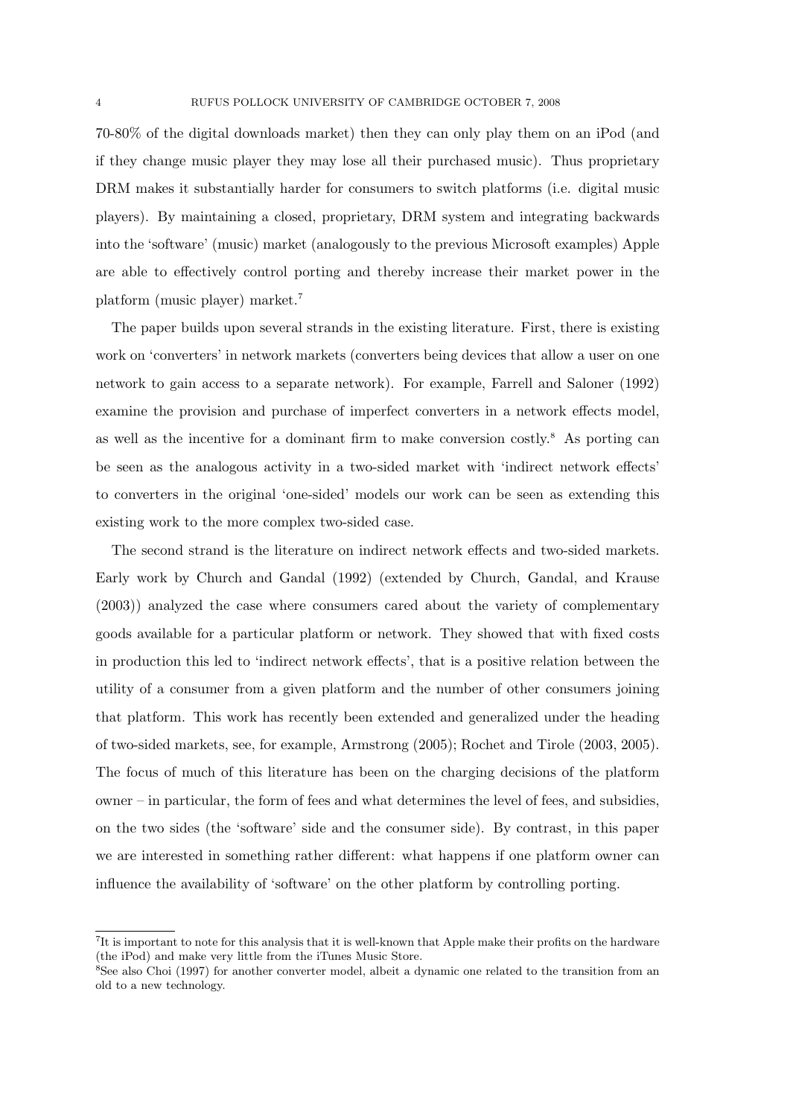70-80% of the digital downloads market) then they can only play them on an iPod (and if they change music player they may lose all their purchased music). Thus proprietary DRM makes it substantially harder for consumers to switch platforms (i.e. digital music players). By maintaining a closed, proprietary, DRM system and integrating backwards into the 'software' (music) market (analogously to the previous Microsoft examples) Apple are able to effectively control porting and thereby increase their market power in the platform (music player) market.<sup>7</sup>

The paper builds upon several strands in the existing literature. First, there is existing work on 'converters' in network markets (converters being devices that allow a user on one network to gain access to a separate network). For example, Farrell and Saloner (1992) examine the provision and purchase of imperfect converters in a network effects model, as well as the incentive for a dominant firm to make conversion costly.<sup>8</sup> As porting can be seen as the analogous activity in a two-sided market with 'indirect network effects' to converters in the original 'one-sided' models our work can be seen as extending this existing work to the more complex two-sided case.

The second strand is the literature on indirect network effects and two-sided markets. Early work by Church and Gandal (1992) (extended by Church, Gandal, and Krause (2003)) analyzed the case where consumers cared about the variety of complementary goods available for a particular platform or network. They showed that with fixed costs in production this led to 'indirect network effects', that is a positive relation between the utility of a consumer from a given platform and the number of other consumers joining that platform. This work has recently been extended and generalized under the heading of two-sided markets, see, for example, Armstrong (2005); Rochet and Tirole (2003, 2005). The focus of much of this literature has been on the charging decisions of the platform owner – in particular, the form of fees and what determines the level of fees, and subsidies, on the two sides (the 'software' side and the consumer side). By contrast, in this paper we are interested in something rather different: what happens if one platform owner can influence the availability of 'software' on the other platform by controlling porting.

<sup>7</sup> It is important to note for this analysis that it is well-known that Apple make their profits on the hardware (the iPod) and make very little from the iTunes Music Store.

<sup>8</sup>See also Choi (1997) for another converter model, albeit a dynamic one related to the transition from an old to a new technology.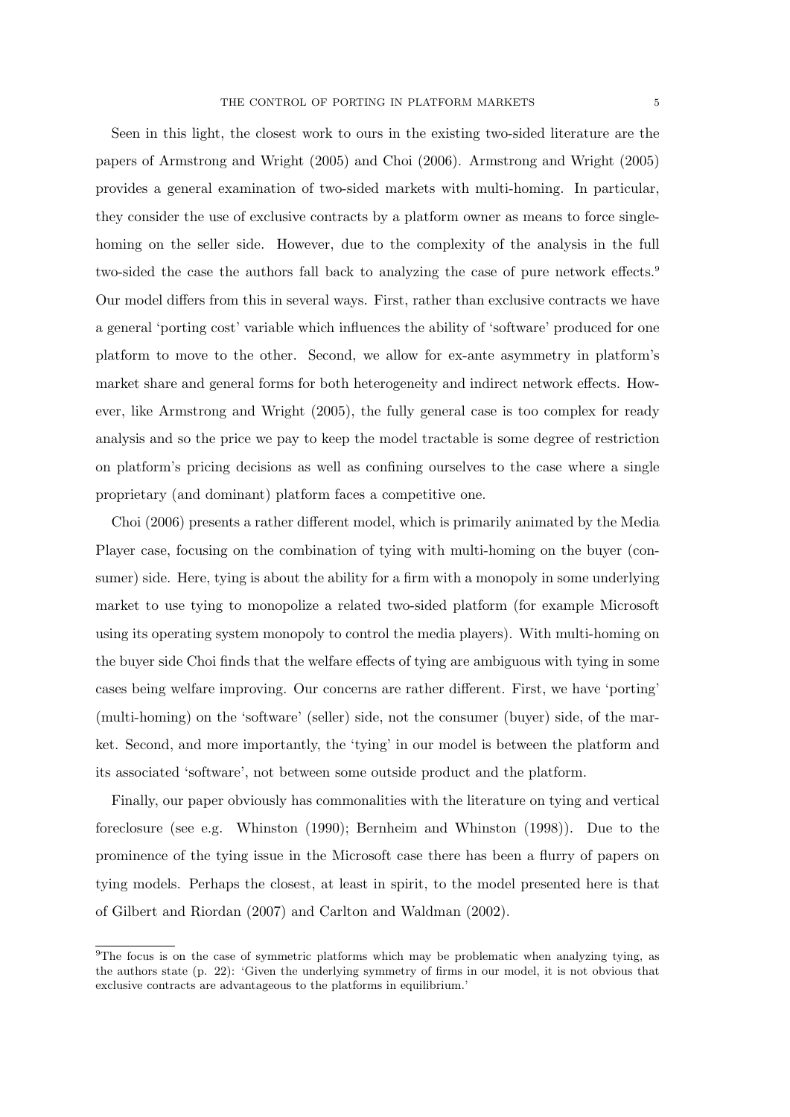Seen in this light, the closest work to ours in the existing two-sided literature are the papers of Armstrong and Wright (2005) and Choi (2006). Armstrong and Wright (2005) provides a general examination of two-sided markets with multi-homing. In particular, they consider the use of exclusive contracts by a platform owner as means to force singlehoming on the seller side. However, due to the complexity of the analysis in the full two-sided the case the authors fall back to analyzing the case of pure network effects.<sup>9</sup> Our model differs from this in several ways. First, rather than exclusive contracts we have a general 'porting cost' variable which influences the ability of 'software' produced for one platform to move to the other. Second, we allow for ex-ante asymmetry in platform's market share and general forms for both heterogeneity and indirect network effects. However, like Armstrong and Wright (2005), the fully general case is too complex for ready analysis and so the price we pay to keep the model tractable is some degree of restriction on platform's pricing decisions as well as confining ourselves to the case where a single proprietary (and dominant) platform faces a competitive one.

Choi (2006) presents a rather different model, which is primarily animated by the Media Player case, focusing on the combination of tying with multi-homing on the buyer (consumer) side. Here, tying is about the ability for a firm with a monopoly in some underlying market to use tying to monopolize a related two-sided platform (for example Microsoft using its operating system monopoly to control the media players). With multi-homing on the buyer side Choi finds that the welfare effects of tying are ambiguous with tying in some cases being welfare improving. Our concerns are rather different. First, we have 'porting' (multi-homing) on the 'software' (seller) side, not the consumer (buyer) side, of the market. Second, and more importantly, the 'tying' in our model is between the platform and its associated 'software', not between some outside product and the platform.

Finally, our paper obviously has commonalities with the literature on tying and vertical foreclosure (see e.g. Whinston (1990); Bernheim and Whinston (1998)). Due to the prominence of the tying issue in the Microsoft case there has been a flurry of papers on tying models. Perhaps the closest, at least in spirit, to the model presented here is that of Gilbert and Riordan (2007) and Carlton and Waldman (2002).

<sup>&</sup>lt;sup>9</sup>The focus is on the case of symmetric platforms which may be problematic when analyzing tying, as the authors state (p. 22): 'Given the underlying symmetry of firms in our model, it is not obvious that exclusive contracts are advantageous to the platforms in equilibrium.'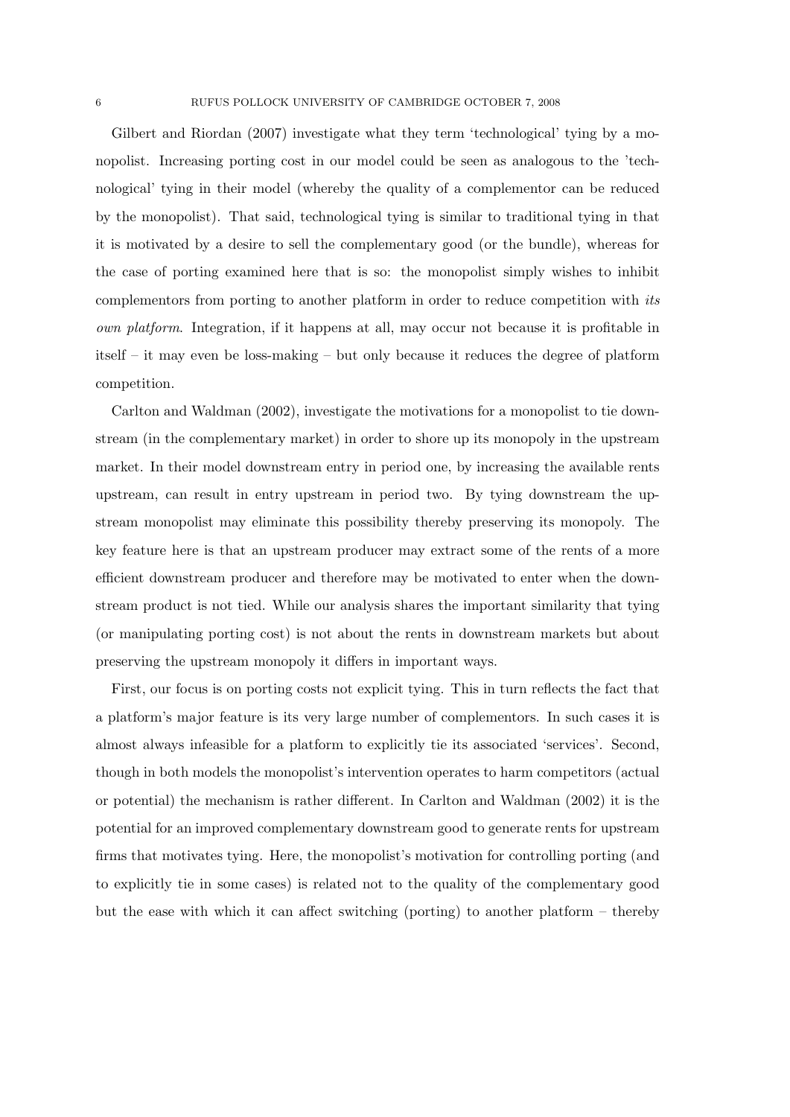Gilbert and Riordan (2007) investigate what they term 'technological' tying by a monopolist. Increasing porting cost in our model could be seen as analogous to the 'technological' tying in their model (whereby the quality of a complementor can be reduced by the monopolist). That said, technological tying is similar to traditional tying in that it is motivated by a desire to sell the complementary good (or the bundle), whereas for the case of porting examined here that is so: the monopolist simply wishes to inhibit complementors from porting to another platform in order to reduce competition with its own platform. Integration, if it happens at all, may occur not because it is profitable in itself – it may even be loss-making – but only because it reduces the degree of platform competition.

Carlton and Waldman (2002), investigate the motivations for a monopolist to tie downstream (in the complementary market) in order to shore up its monopoly in the upstream market. In their model downstream entry in period one, by increasing the available rents upstream, can result in entry upstream in period two. By tying downstream the upstream monopolist may eliminate this possibility thereby preserving its monopoly. The key feature here is that an upstream producer may extract some of the rents of a more efficient downstream producer and therefore may be motivated to enter when the downstream product is not tied. While our analysis shares the important similarity that tying (or manipulating porting cost) is not about the rents in downstream markets but about preserving the upstream monopoly it differs in important ways.

First, our focus is on porting costs not explicit tying. This in turn reflects the fact that a platform's major feature is its very large number of complementors. In such cases it is almost always infeasible for a platform to explicitly tie its associated 'services'. Second, though in both models the monopolist's intervention operates to harm competitors (actual or potential) the mechanism is rather different. In Carlton and Waldman (2002) it is the potential for an improved complementary downstream good to generate rents for upstream firms that motivates tying. Here, the monopolist's motivation for controlling porting (and to explicitly tie in some cases) is related not to the quality of the complementary good but the ease with which it can affect switching (porting) to another platform – thereby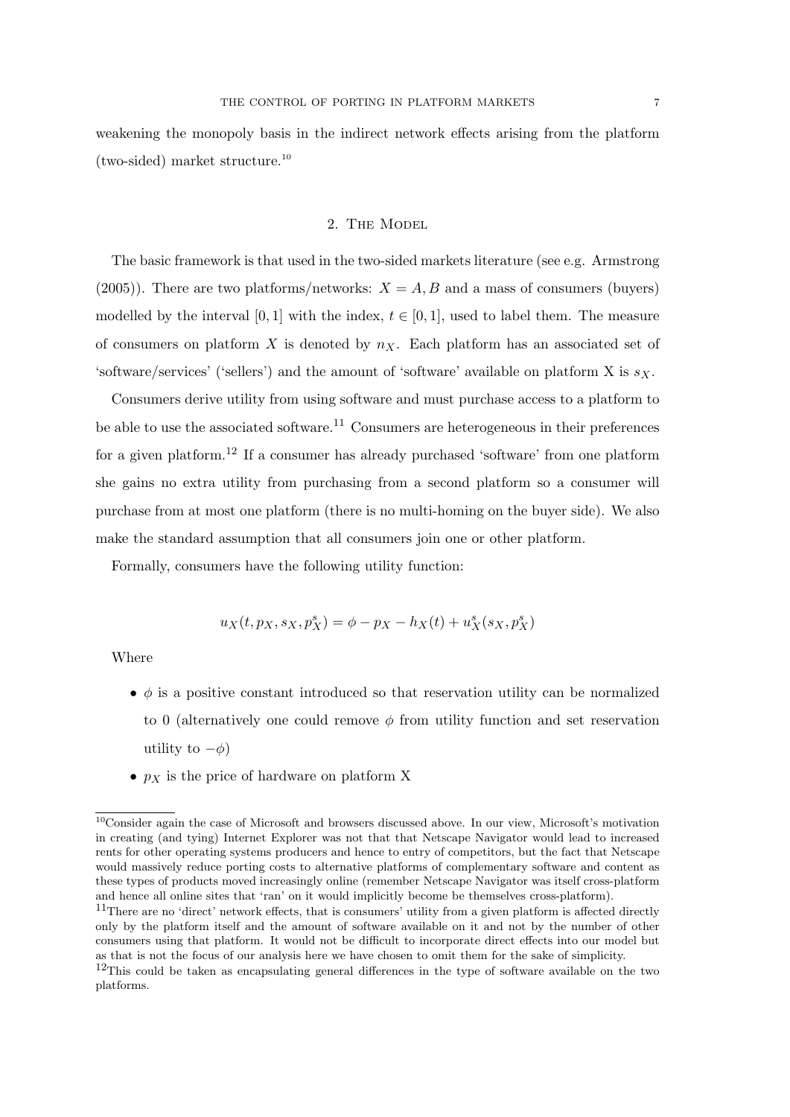weakening the monopoly basis in the indirect network effects arising from the platform (two-sided) market structure.<sup>10</sup>

# 2. The Model

The basic framework is that used in the two-sided markets literature (see e.g. Armstrong (2005)). There are two platforms/networks:  $X = A, B$  and a mass of consumers (buyers) modelled by the interval [0, 1] with the index,  $t \in [0, 1]$ , used to label them. The measure of consumers on platform X is denoted by  $n_X$ . Each platform has an associated set of 'software/services' ('sellers') and the amount of 'software' available on platform X is  $s_X$ .

Consumers derive utility from using software and must purchase access to a platform to be able to use the associated software.<sup>11</sup> Consumers are heterogeneous in their preferences for a given platform.<sup>12</sup> If a consumer has already purchased 'software' from one platform she gains no extra utility from purchasing from a second platform so a consumer will purchase from at most one platform (there is no multi-homing on the buyer side). We also make the standard assumption that all consumers join one or other platform.

Formally, consumers have the following utility function:

$$
u_X(t, p_X, s_X, p_X^s) = \phi - p_X - h_X(t) + u_X^s(s_X, p_X^s)
$$

Where

- $\bullet$   $\phi$  is a positive constant introduced so that reservation utility can be normalized to 0 (alternatively one could remove  $\phi$  from utility function and set reservation utility to  $-\phi$ )
- $p_X$  is the price of hardware on platform X

<sup>10</sup>Consider again the case of Microsoft and browsers discussed above. In our view, Microsoft's motivation in creating (and tying) Internet Explorer was not that that Netscape Navigator would lead to increased rents for other operating systems producers and hence to entry of competitors, but the fact that Netscape would massively reduce porting costs to alternative platforms of complementary software and content as these types of products moved increasingly online (remember Netscape Navigator was itself cross-platform and hence all online sites that 'ran' on it would implicitly become be themselves cross-platform).

<sup>&</sup>lt;sup>11</sup>There are no 'direct' network effects, that is consumers' utility from a given platform is affected directly only by the platform itself and the amount of software available on it and not by the number of other consumers using that platform. It would not be difficult to incorporate direct effects into our model but as that is not the focus of our analysis here we have chosen to omit them for the sake of simplicity.

 $12$ This could be taken as encapsulating general differences in the type of software available on the two platforms.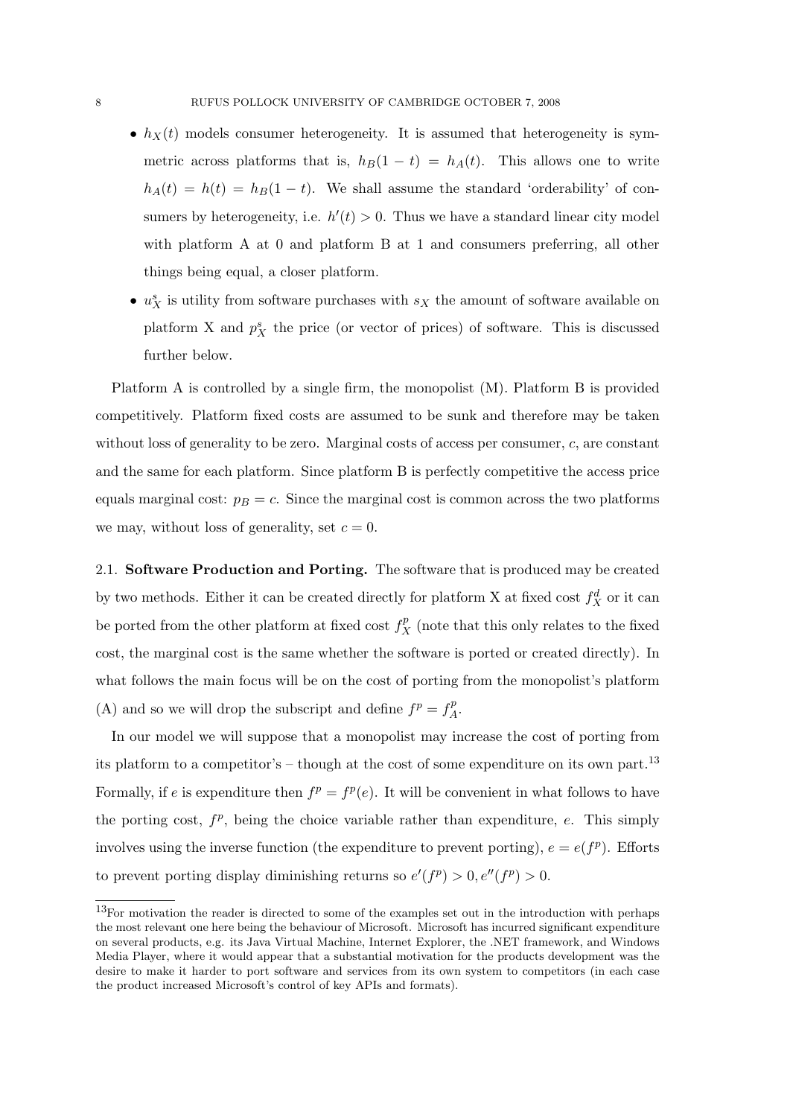- $h_X(t)$  models consumer heterogeneity. It is assumed that heterogeneity is symmetric across platforms that is,  $h_B(1 - t) = h_A(t)$ . This allows one to write  $h_A(t) = h(t) = h_B(1 - t)$ . We shall assume the standard 'orderability' of consumers by heterogeneity, i.e.  $h'(t) > 0$ . Thus we have a standard linear city model with platform A at 0 and platform B at 1 and consumers preferring, all other things being equal, a closer platform.
- $u_X^s$  is utility from software purchases with  $s_X$  the amount of software available on platform X and  $p_X^s$  the price (or vector of prices) of software. This is discussed further below.

Platform A is controlled by a single firm, the monopolist (M). Platform B is provided competitively. Platform fixed costs are assumed to be sunk and therefore may be taken without loss of generality to be zero. Marginal costs of access per consumer, c, are constant and the same for each platform. Since platform B is perfectly competitive the access price equals marginal cost:  $p_B = c$ . Since the marginal cost is common across the two platforms we may, without loss of generality, set  $c = 0$ .

2.1. Software Production and Porting. The software that is produced may be created by two methods. Either it can be created directly for platform X at fixed cost  $f_X^d$  or it can be ported from the other platform at fixed cost  $f_X^p$  (note that this only relates to the fixed cost, the marginal cost is the same whether the software is ported or created directly). In what follows the main focus will be on the cost of porting from the monopolist's platform (A) and so we will drop the subscript and define  $f^p = f^p_A$  $A^{\cdot}$ 

In our model we will suppose that a monopolist may increase the cost of porting from its platform to a competitor's – though at the cost of some expenditure on its own part.<sup>13</sup> Formally, if e is expenditure then  $f^p = f^p(e)$ . It will be convenient in what follows to have the porting cost,  $f^p$ , being the choice variable rather than expenditure, e. This simply involves using the inverse function (the expenditure to prevent porting),  $e = e(f^p)$ . Efforts to prevent porting display diminishing returns so  $e'(f^p) > 0, e''(f^p) > 0$ .

<sup>13</sup>For motivation the reader is directed to some of the examples set out in the introduction with perhaps the most relevant one here being the behaviour of Microsoft. Microsoft has incurred significant expenditure on several products, e.g. its Java Virtual Machine, Internet Explorer, the .NET framework, and Windows Media Player, where it would appear that a substantial motivation for the products development was the desire to make it harder to port software and services from its own system to competitors (in each case the product increased Microsoft's control of key APIs and formats).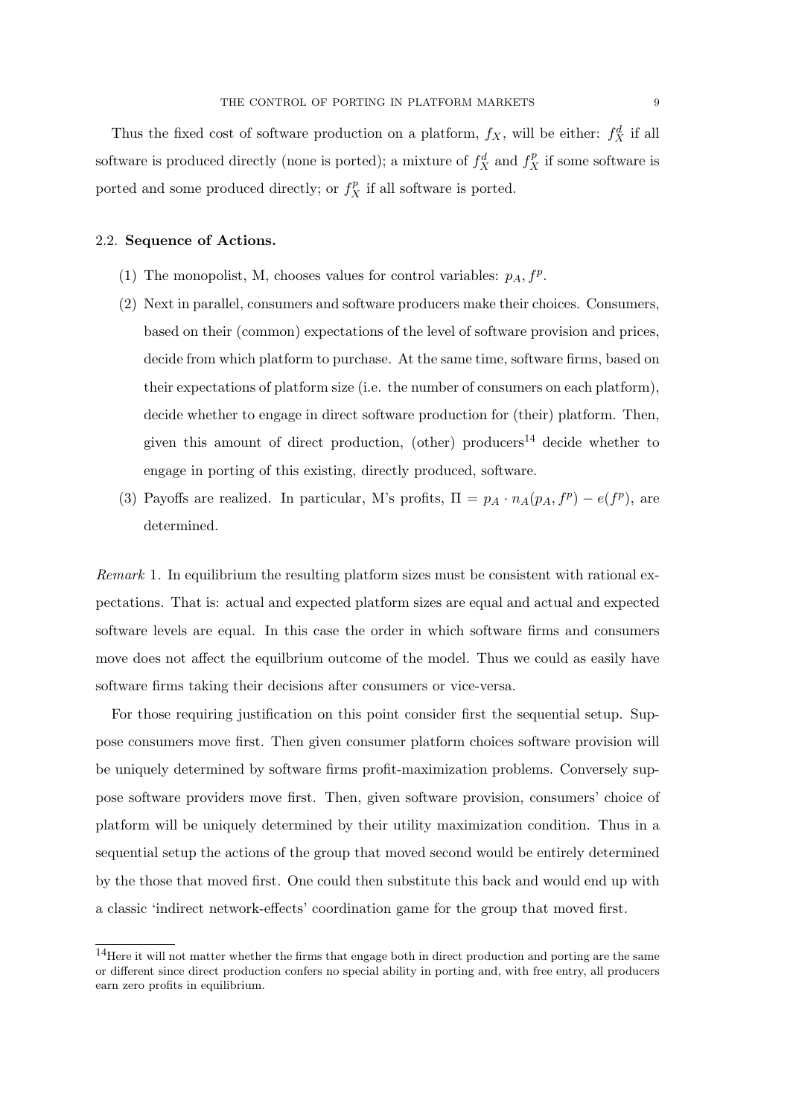Thus the fixed cost of software production on a platform,  $f_X$ , will be either:  $f_X^d$  if all software is produced directly (none is ported); a mixture of  $f_X^d$  and  $f_X^p$  if some software is ported and some produced directly; or  $f_X^p$  if all software is ported.

# 2.2. Sequence of Actions.

- (1) The monopolist, M, chooses values for control variables:  $p_A$ ,  $f^p$ .
- (2) Next in parallel, consumers and software producers make their choices. Consumers, based on their (common) expectations of the level of software provision and prices, decide from which platform to purchase. At the same time, software firms, based on their expectations of platform size (i.e. the number of consumers on each platform), decide whether to engage in direct software production for (their) platform. Then, given this amount of direct production, (other) producers<sup>14</sup> decide whether to engage in porting of this existing, directly produced, software.
- (3) Payoffs are realized. In particular, M's profits,  $\Pi = p_A \cdot n_A(p_A, f^p) e(f^p)$ , are determined.

Remark 1. In equilibrium the resulting platform sizes must be consistent with rational expectations. That is: actual and expected platform sizes are equal and actual and expected software levels are equal. In this case the order in which software firms and consumers move does not affect the equilbrium outcome of the model. Thus we could as easily have software firms taking their decisions after consumers or vice-versa.

For those requiring justification on this point consider first the sequential setup. Suppose consumers move first. Then given consumer platform choices software provision will be uniquely determined by software firms profit-maximization problems. Conversely suppose software providers move first. Then, given software provision, consumers' choice of platform will be uniquely determined by their utility maximization condition. Thus in a sequential setup the actions of the group that moved second would be entirely determined by the those that moved first. One could then substitute this back and would end up with a classic 'indirect network-effects' coordination game for the group that moved first.

<sup>&</sup>lt;sup>14</sup>Here it will not matter whether the firms that engage both in direct production and porting are the same or different since direct production confers no special ability in porting and, with free entry, all producers earn zero profits in equilibrium.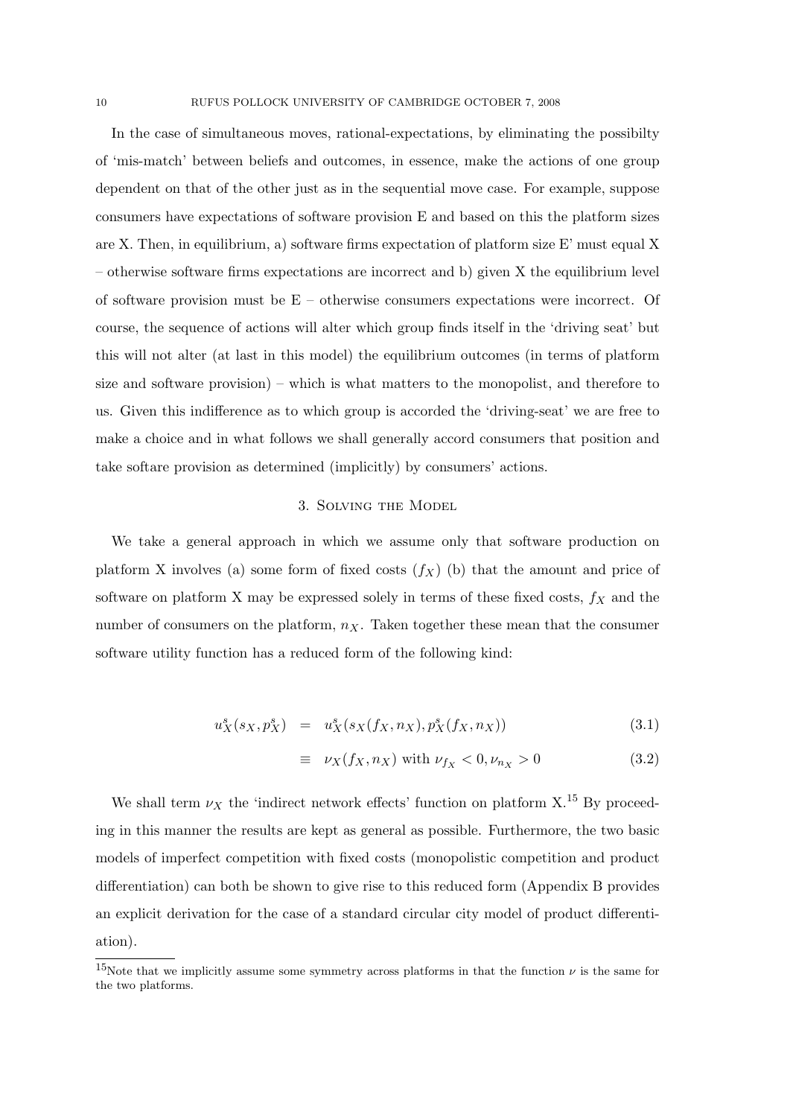In the case of simultaneous moves, rational-expectations, by eliminating the possibilty of 'mis-match' between beliefs and outcomes, in essence, make the actions of one group dependent on that of the other just as in the sequential move case. For example, suppose consumers have expectations of software provision E and based on this the platform sizes are X. Then, in equilibrium, a) software firms expectation of platform size E' must equal X – otherwise software firms expectations are incorrect and b) given X the equilibrium level of software provision must be  $E$  – otherwise consumers expectations were incorrect. Of course, the sequence of actions will alter which group finds itself in the 'driving seat' but this will not alter (at last in this model) the equilibrium outcomes (in terms of platform size and software provision) – which is what matters to the monopolist, and therefore to us. Given this indifference as to which group is accorded the 'driving-seat' we are free to make a choice and in what follows we shall generally accord consumers that position and take softare provision as determined (implicitly) by consumers' actions.

## 3. Solving the Model

We take a general approach in which we assume only that software production on platform X involves (a) some form of fixed costs  $(f_X)$  (b) that the amount and price of software on platform X may be expressed solely in terms of these fixed costs,  $f_X$  and the number of consumers on the platform,  $n_X$ . Taken together these mean that the consumer software utility function has a reduced form of the following kind:

$$
u_X^s(s_X, p_X^s) = u_X^s(s_X(f_X, n_X), p_X^s(f_X, n_X))
$$
\n(3.1)

$$
\equiv \nu_X(f_X, n_X) \text{ with } \nu_{f_X} < 0, \nu_{n_X} > 0 \tag{3.2}
$$

We shall term  $\nu_X$  the 'indirect network effects' function on platform X.<sup>15</sup> By proceeding in this manner the results are kept as general as possible. Furthermore, the two basic models of imperfect competition with fixed costs (monopolistic competition and product differentiation) can both be shown to give rise to this reduced form (Appendix B provides an explicit derivation for the case of a standard circular city model of product differentiation).

<sup>&</sup>lt;sup>15</sup>Note that we implicitly assume some symmetry across platforms in that the function  $\nu$  is the same for the two platforms.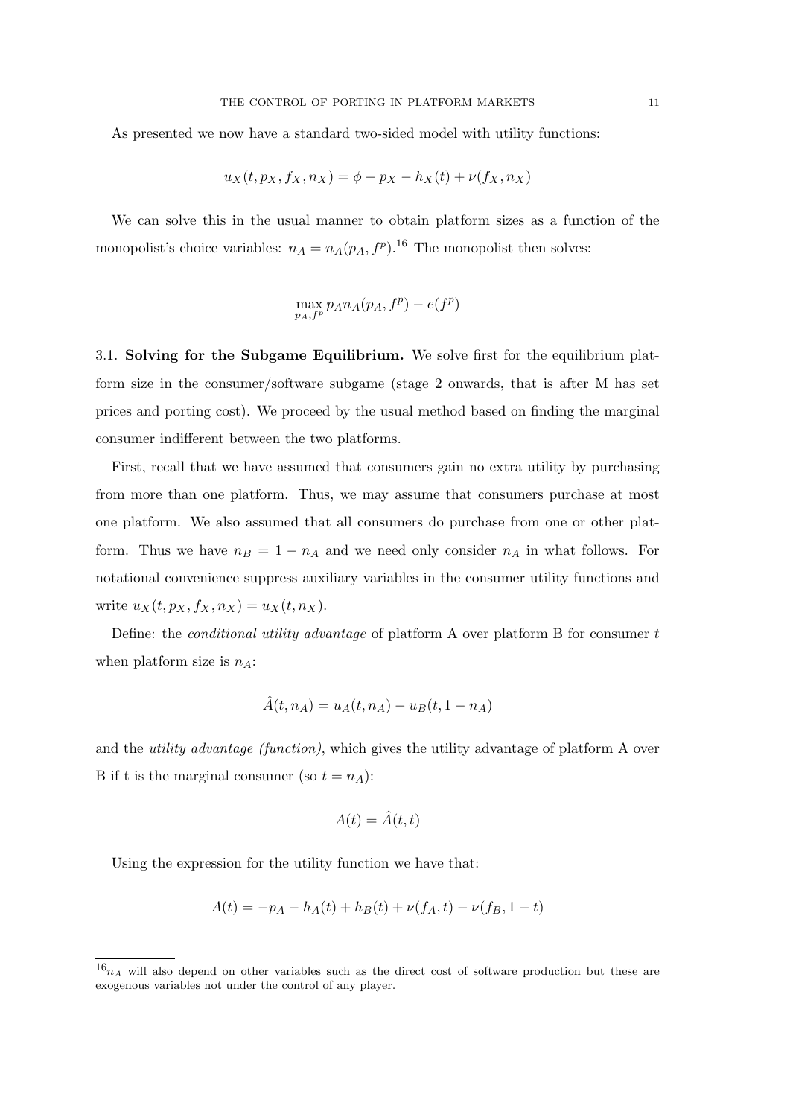As presented we now have a standard two-sided model with utility functions:

$$
u_X(t, p_X, f_X, n_X) = \phi - p_X - h_X(t) + \nu(f_X, n_X)
$$

We can solve this in the usual manner to obtain platform sizes as a function of the monopolist's choice variables:  $n_A = n_A(p_A, f^p)$ .<sup>16</sup> The monopolist then solves:

$$
\max_{p_A, f^p} p_A n_A(p_A, f^p) - e(f^p)
$$

3.1. Solving for the Subgame Equilibrium. We solve first for the equilibrium platform size in the consumer/software subgame (stage 2 onwards, that is after M has set prices and porting cost). We proceed by the usual method based on finding the marginal consumer indifferent between the two platforms.

First, recall that we have assumed that consumers gain no extra utility by purchasing from more than one platform. Thus, we may assume that consumers purchase at most one platform. We also assumed that all consumers do purchase from one or other platform. Thus we have  $n_B = 1 - n_A$  and we need only consider  $n_A$  in what follows. For notational convenience suppress auxiliary variables in the consumer utility functions and write  $u_X(t, p_X, f_X, n_X) = u_X(t, n_X)$ .

Define: the conditional utility advantage of platform A over platform B for consumer t when platform size is  $n_A$ :

$$
\hat{A}(t, n_A) = u_A(t, n_A) - u_B(t, 1 - n_A)
$$

and the utility advantage (function), which gives the utility advantage of platform A over B if t is the marginal consumer (so  $t = n_A$ ):

$$
A(t) = \hat{A}(t, t)
$$

Using the expression for the utility function we have that:

$$
A(t) = -p_A - h_A(t) + h_B(t) + \nu(f_A, t) - \nu(f_B, 1 - t)
$$

 $16_{n_A}$  will also depend on other variables such as the direct cost of software production but these are exogenous variables not under the control of any player.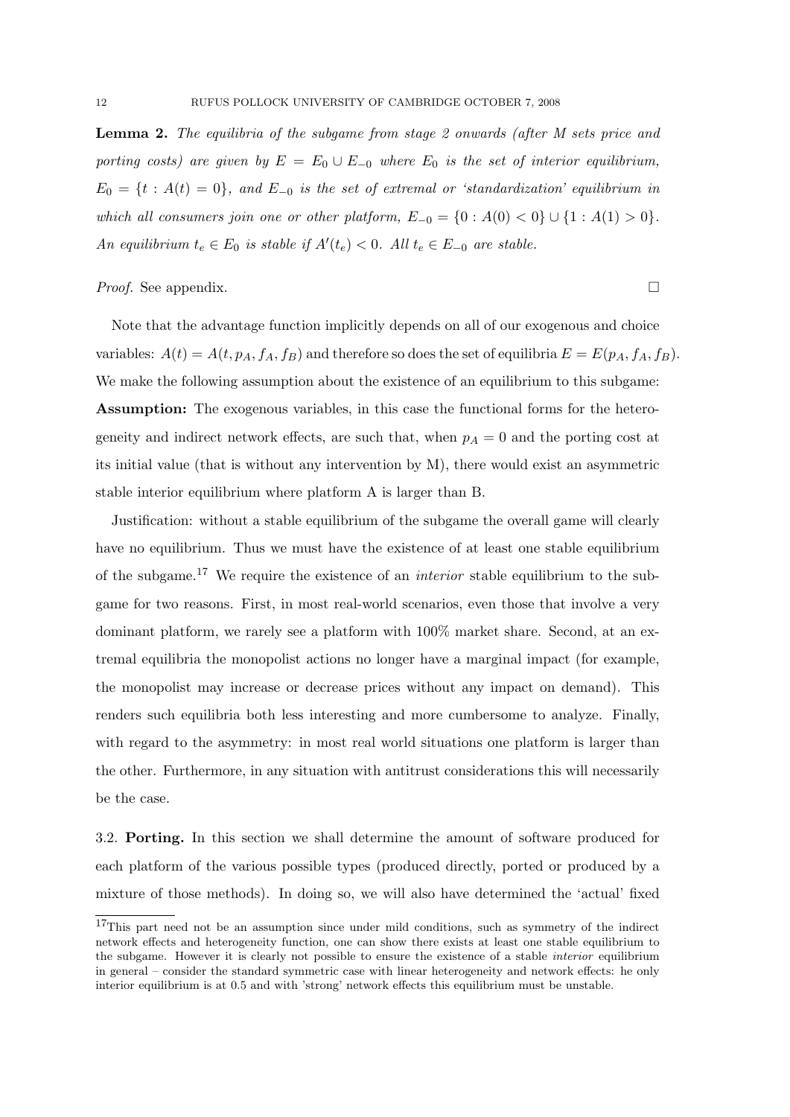Lemma 2. The equilibria of the subgame from stage 2 onwards (after M sets price and porting costs) are given by  $E = E_0 \cup E_{-0}$  where  $E_0$  is the set of interior equilibrium,  $E_0 = \{t : A(t) = 0\}$ , and  $E_{-0}$  is the set of extremal or 'standardization' equilibrium in which all consumers join one or other platform,  $E_{-0} = \{0 : A(0) < 0\} \cup \{1 : A(1) > 0\}.$ An equilibrium  $t_e \in E_0$  is stable if  $A'(t_e) < 0$ . All  $t_e \in E_{-0}$  are stable.

*Proof.* See appendix.  $\Box$ 

Note that the advantage function implicitly depends on all of our exogenous and choice variables:  $A(t) = A(t, p_A, f_A, f_B)$  and therefore so does the set of equilibria  $E = E(p_A, f_A, f_B)$ . We make the following assumption about the existence of an equilibrium to this subgame: Assumption: The exogenous variables, in this case the functional forms for the heterogeneity and indirect network effects, are such that, when  $p_A = 0$  and the porting cost at its initial value (that is without any intervention by M), there would exist an asymmetric stable interior equilibrium where platform A is larger than B.

Justification: without a stable equilibrium of the subgame the overall game will clearly have no equilibrium. Thus we must have the existence of at least one stable equilibrium of the subgame.<sup>17</sup> We require the existence of an *interior* stable equilibrium to the subgame for two reasons. First, in most real-world scenarios, even those that involve a very dominant platform, we rarely see a platform with 100% market share. Second, at an extremal equilibria the monopolist actions no longer have a marginal impact (for example, the monopolist may increase or decrease prices without any impact on demand). This renders such equilibria both less interesting and more cumbersome to analyze. Finally, with regard to the asymmetry: in most real world situations one platform is larger than the other. Furthermore, in any situation with antitrust considerations this will necessarily be the case.

3.2. Porting. In this section we shall determine the amount of software produced for each platform of the various possible types (produced directly, ported or produced by a mixture of those methods). In doing so, we will also have determined the 'actual' fixed

<sup>&</sup>lt;sup>17</sup>This part need not be an assumption since under mild conditions, such as symmetry of the indirect network effects and heterogeneity function, one can show there exists at least one stable equilibrium to the subgame. However it is clearly not possible to ensure the existence of a stable interior equilibrium in general – consider the standard symmetric case with linear heterogeneity and network effects: he only interior equilibrium is at 0.5 and with 'strong' network effects this equilibrium must be unstable.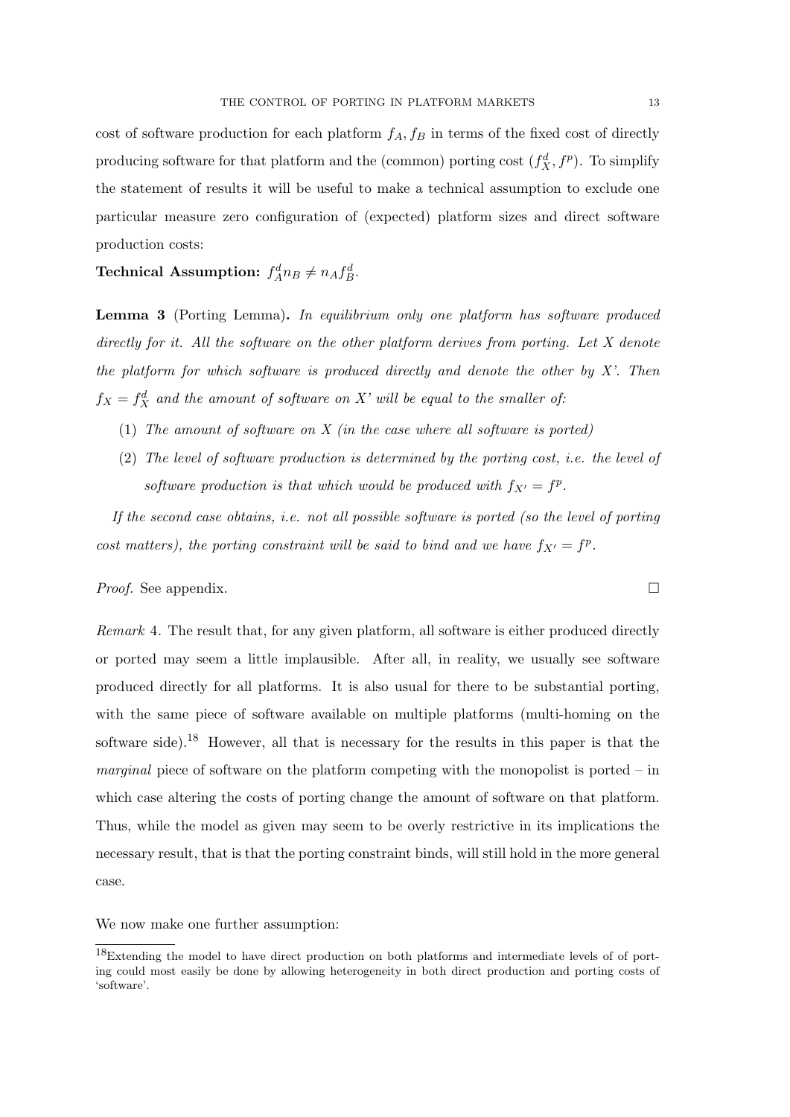cost of software production for each platform  $f_A, f_B$  in terms of the fixed cost of directly producing software for that platform and the (common) porting cost  $(f_X^d, f^p)$ . To simplify the statement of results it will be useful to make a technical assumption to exclude one particular measure zero configuration of (expected) platform sizes and direct software production costs:

Technical Assumption:  $f_A^d n_B \neq n_A f_B^d$ .

Lemma 3 (Porting Lemma). In equilibrium only one platform has software produced directly for it. All the software on the other platform derives from porting. Let X denote the platform for which software is produced directly and denote the other by  $X'$ . Then  $f_X = f_X^d$  and the amount of software on X' will be equal to the smaller of.

- (1) The amount of software on  $X$  (in the case where all software is ported)
- (2) The level of software production is determined by the porting cost, i.e. the level of software production is that which would be produced with  $f_{X'} = f^p$ .

If the second case obtains, i.e. not all possible software is ported (so the level of porting cost matters), the porting constraint will be said to bind and we have  $f_{X'} = f^p$ .

# *Proof.* See appendix.  $\Box$

Remark 4. The result that, for any given platform, all software is either produced directly or ported may seem a little implausible. After all, in reality, we usually see software produced directly for all platforms. It is also usual for there to be substantial porting, with the same piece of software available on multiple platforms (multi-homing on the software side).<sup>18</sup> However, all that is necessary for the results in this paper is that the *marginal* piece of software on the platform competing with the monopolist is ported – in which case altering the costs of porting change the amount of software on that platform. Thus, while the model as given may seem to be overly restrictive in its implications the necessary result, that is that the porting constraint binds, will still hold in the more general case.

We now make one further assumption:

<sup>18</sup>Extending the model to have direct production on both platforms and intermediate levels of of porting could most easily be done by allowing heterogeneity in both direct production and porting costs of 'software'.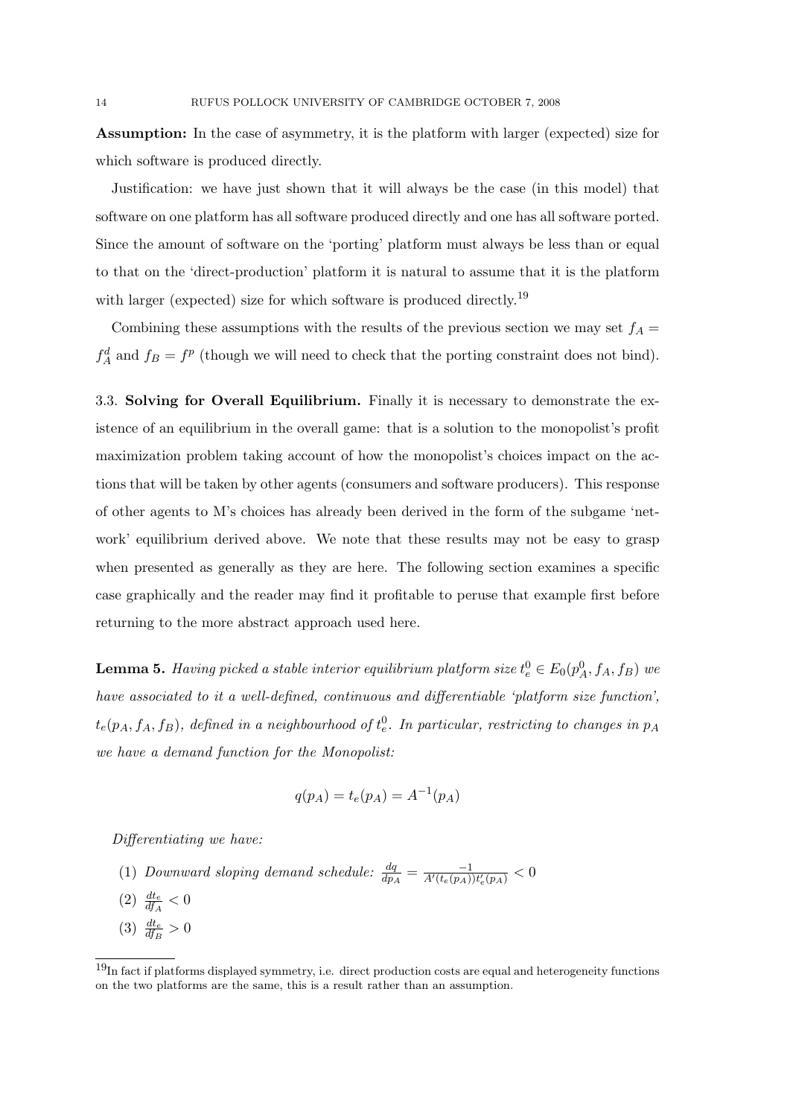Assumption: In the case of asymmetry, it is the platform with larger (expected) size for which software is produced directly.

Justification: we have just shown that it will always be the case (in this model) that software on one platform has all software produced directly and one has all software ported. Since the amount of software on the 'porting' platform must always be less than or equal to that on the 'direct-production' platform it is natural to assume that it is the platform with larger (expected) size for which software is produced directly.<sup>19</sup>

Combining these assumptions with the results of the previous section we may set  $f_A =$  $f_A^d$  and  $f_B = f^p$  (though we will need to check that the porting constraint does not bind).

3.3. Solving for Overall Equilibrium. Finally it is necessary to demonstrate the existence of an equilibrium in the overall game: that is a solution to the monopolist's profit maximization problem taking account of how the monopolist's choices impact on the actions that will be taken by other agents (consumers and software producers). This response of other agents to M's choices has already been derived in the form of the subgame 'network' equilibrium derived above. We note that these results may not be easy to grasp when presented as generally as they are here. The following section examines a specific case graphically and the reader may find it profitable to peruse that example first before returning to the more abstract approach used here.

**Lemma 5.** Having picked a stable interior equilibrium platform size  $t_e^0 \in E_0(p_A^0, f_A, f_B)$  we have associated to it a well-defined, continuous and differentiable 'platform size function',  $t_e(p_A, f_A, f_B)$ , defined in a neighbourhood of  $t_e^0$ . In particular, restricting to changes in  $p_A$ we have a demand function for the Monopolist:

$$
q(p_A) = t_e(p_A) = A^{-1}(p_A)
$$

Differentiating we have:

- (1) Downward sloping demand schedule:  $\frac{dq}{dp_A} = \frac{-1}{A'(t_e(p_A))t'_e(p_A)} < 0$
- (2)  $\frac{dt_e}{df_A} < 0$
- (3)  $\frac{dt_e}{df_B} > 0$

<sup>&</sup>lt;sup>19</sup>In fact if platforms displayed symmetry, i.e. direct production costs are equal and heterogeneity functions on the two platforms are the same, this is a result rather than an assumption.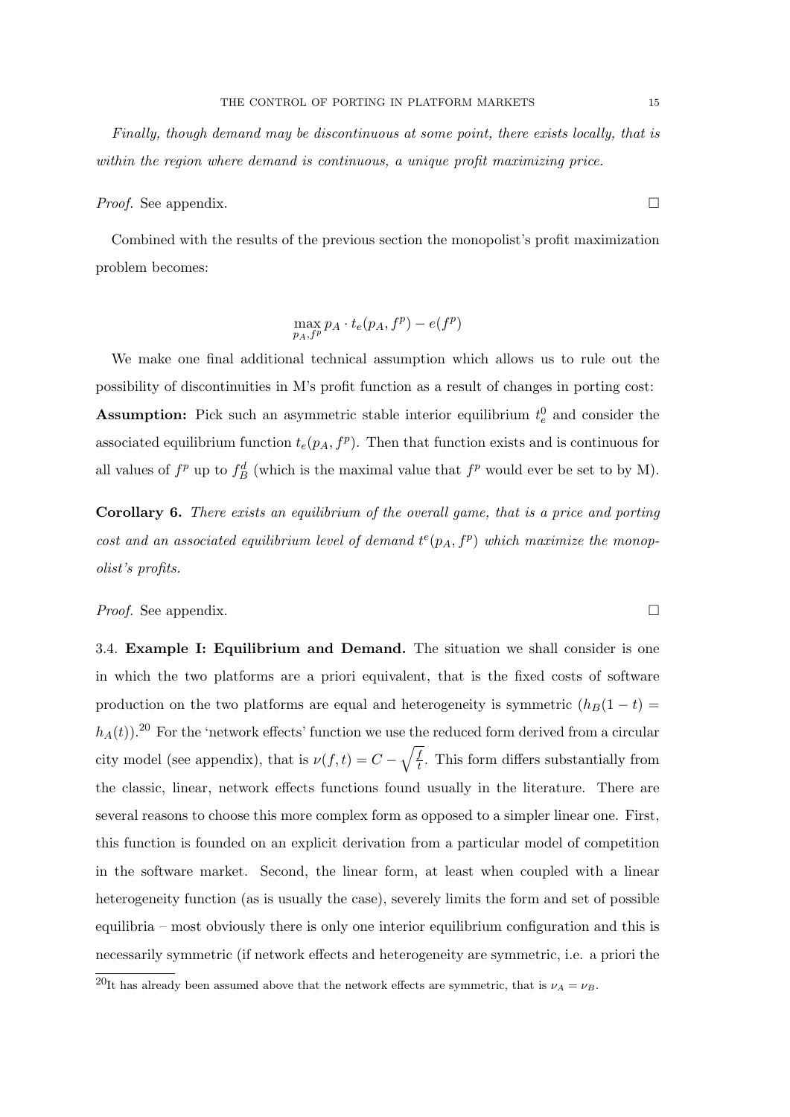Finally, though demand may be discontinuous at some point, there exists locally, that is within the region where demand is continuous, a unique profit maximizing price.

*Proof.* See appendix.  $\Box$ 

Combined with the results of the previous section the monopolist's profit maximization problem becomes:

$$
\max_{p_A, f^p} p_A \cdot t_e(p_A, f^p) - e(f^p)
$$

We make one final additional technical assumption which allows us to rule out the possibility of discontinuities in M's profit function as a result of changes in porting cost: **Assumption:** Pick such an asymmetric stable interior equilibrium  $t_e^0$  and consider the associated equilibrium function  $t_e(p_A, f^p)$ . Then that function exists and is continuous for all values of  $f^p$  up to  $f^d$  (which is the maximal value that  $f^p$  would ever be set to by M).

Corollary 6. There exists an equilibrium of the overall game, that is a price and porting cost and an associated equilibrium level of demand  $t^{e}(p_{A}, f^{p})$  which maximize the monopolist's profits.

*Proof.* See appendix.  $\Box$ 

3.4. Example I: Equilibrium and Demand. The situation we shall consider is one in which the two platforms are a priori equivalent, that is the fixed costs of software production on the two platforms are equal and heterogeneity is symmetric  $(h_B(1 - t) =$  $h_A(t)$ .<sup>20</sup> For the 'network effects' function we use the reduced form derived from a circular city model (see appendix), that is  $\nu(f,t) = C - \sqrt{\frac{f}{t}}$  $\frac{d}{dt}$ . This form differs substantially from the classic, linear, network effects functions found usually in the literature. There are several reasons to choose this more complex form as opposed to a simpler linear one. First, this function is founded on an explicit derivation from a particular model of competition in the software market. Second, the linear form, at least when coupled with a linear heterogeneity function (as is usually the case), severely limits the form and set of possible equilibria – most obviously there is only one interior equilibrium configuration and this is necessarily symmetric (if network effects and heterogeneity are symmetric, i.e. a priori the

<sup>&</sup>lt;sup>20</sup>It has already been assumed above that the network effects are symmetric, that is  $\nu_A = \nu_B$ .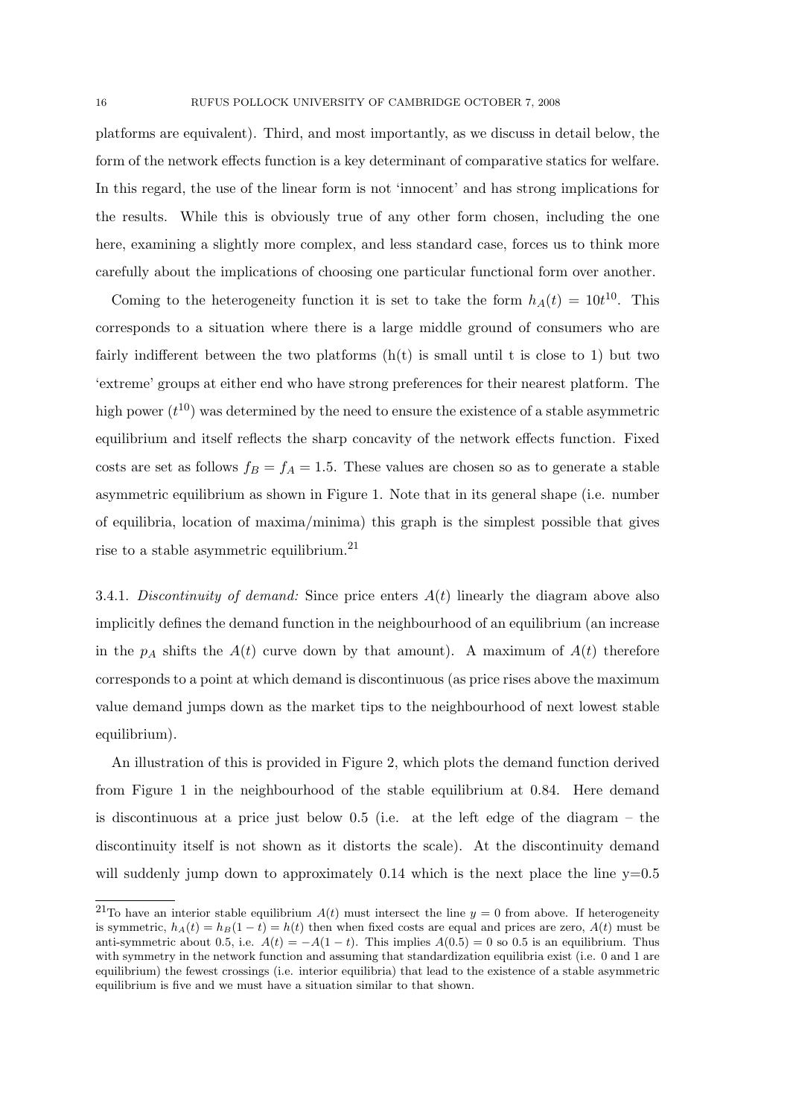platforms are equivalent). Third, and most importantly, as we discuss in detail below, the form of the network effects function is a key determinant of comparative statics for welfare. In this regard, the use of the linear form is not 'innocent' and has strong implications for the results. While this is obviously true of any other form chosen, including the one here, examining a slightly more complex, and less standard case, forces us to think more carefully about the implications of choosing one particular functional form over another.

Coming to the heterogeneity function it is set to take the form  $h_A(t) = 10t^{10}$ . This corresponds to a situation where there is a large middle ground of consumers who are fairly indifferent between the two platforms  $(h(t))$  is small until t is close to 1) but two 'extreme' groups at either end who have strong preferences for their nearest platform. The high power  $(t^{10})$  was determined by the need to ensure the existence of a stable asymmetric equilibrium and itself reflects the sharp concavity of the network effects function. Fixed costs are set as follows  $f_B = f_A = 1.5$ . These values are chosen so as to generate a stable asymmetric equilibrium as shown in Figure 1. Note that in its general shape (i.e. number of equilibria, location of maxima/minima) this graph is the simplest possible that gives rise to a stable asymmetric equilibrium.<sup>21</sup>

3.4.1. Discontinuity of demand: Since price enters  $A(t)$  linearly the diagram above also implicitly defines the demand function in the neighbourhood of an equilibrium (an increase in the  $p_A$  shifts the  $A(t)$  curve down by that amount). A maximum of  $A(t)$  therefore corresponds to a point at which demand is discontinuous (as price rises above the maximum value demand jumps down as the market tips to the neighbourhood of next lowest stable equilibrium).

An illustration of this is provided in Figure 2, which plots the demand function derived from Figure 1 in the neighbourhood of the stable equilibrium at 0.84. Here demand is discontinuous at a price just below 0.5 (i.e. at the left edge of the diagram – the discontinuity itself is not shown as it distorts the scale). At the discontinuity demand will suddenly jump down to approximately  $0.14$  which is the next place the line  $y=0.5$ 

<sup>&</sup>lt;sup>21</sup>To have an interior stable equilibrium  $A(t)$  must intersect the line  $y = 0$  from above. If heterogeneity is symmetric,  $h_A(t) = h_B(1 - t) = h(t)$  then when fixed costs are equal and prices are zero,  $A(t)$  must be anti-symmetric about 0.5, i.e.  $A(t) = -A(1-t)$ . This implies  $A(0.5) = 0$  so 0.5 is an equilibrium. Thus with symmetry in the network function and assuming that standardization equilibria exist (i.e. 0 and 1 are equilibrium) the fewest crossings (i.e. interior equilibria) that lead to the existence of a stable asymmetric equilibrium is five and we must have a situation similar to that shown.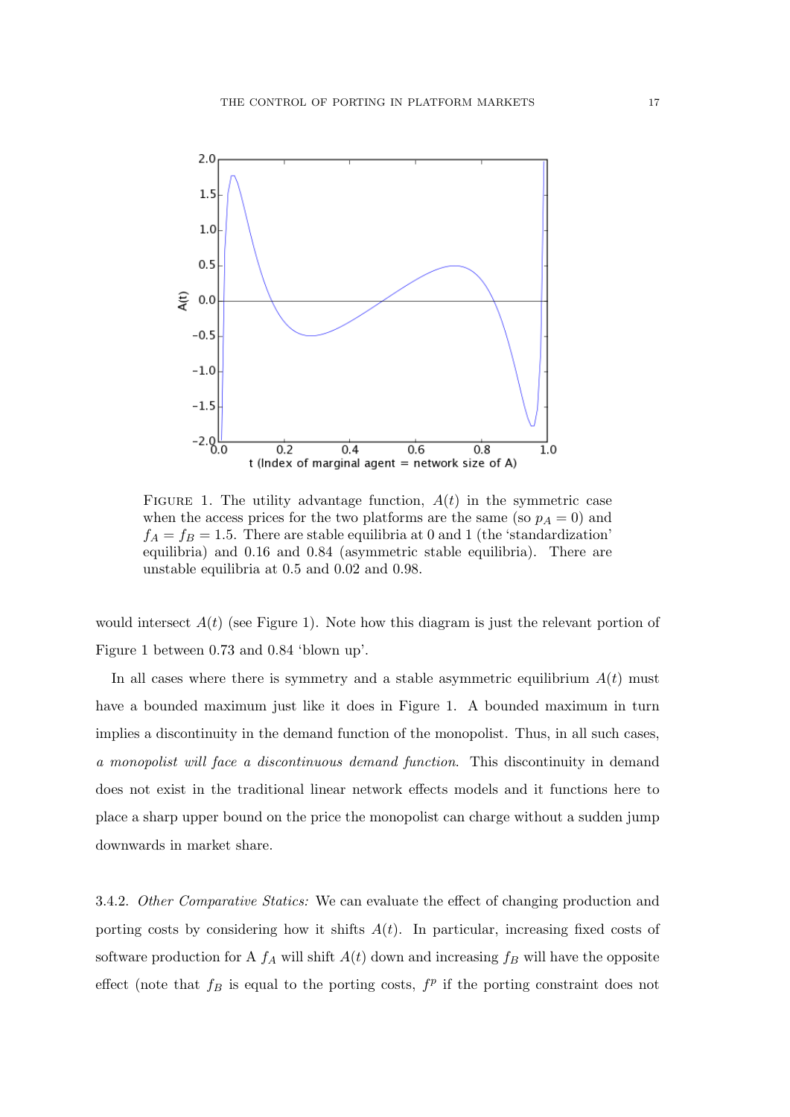

FIGURE 1. The utility advantage function,  $A(t)$  in the symmetric case when the access prices for the two platforms are the same (so  $p_A = 0$ ) and  $f_A = f_B = 1.5$ . There are stable equilibria at 0 and 1 (the 'standardization' equilibria) and 0.16 and 0.84 (asymmetric stable equilibria). There are unstable equilibria at 0.5 and 0.02 and 0.98.

would intersect  $A(t)$  (see Figure 1). Note how this diagram is just the relevant portion of Figure 1 between 0.73 and 0.84 'blown up'.

In all cases where there is symmetry and a stable asymmetric equilibrium  $A(t)$  must have a bounded maximum just like it does in Figure 1. A bounded maximum in turn implies a discontinuity in the demand function of the monopolist. Thus, in all such cases, a monopolist will face a discontinuous demand function. This discontinuity in demand does not exist in the traditional linear network effects models and it functions here to place a sharp upper bound on the price the monopolist can charge without a sudden jump downwards in market share.

3.4.2. Other Comparative Statics: We can evaluate the effect of changing production and porting costs by considering how it shifts  $A(t)$ . In particular, increasing fixed costs of software production for A  $f_A$  will shift  $A(t)$  down and increasing  $f_B$  will have the opposite effect (note that  $f_B$  is equal to the porting costs,  $f^p$  if the porting constraint does not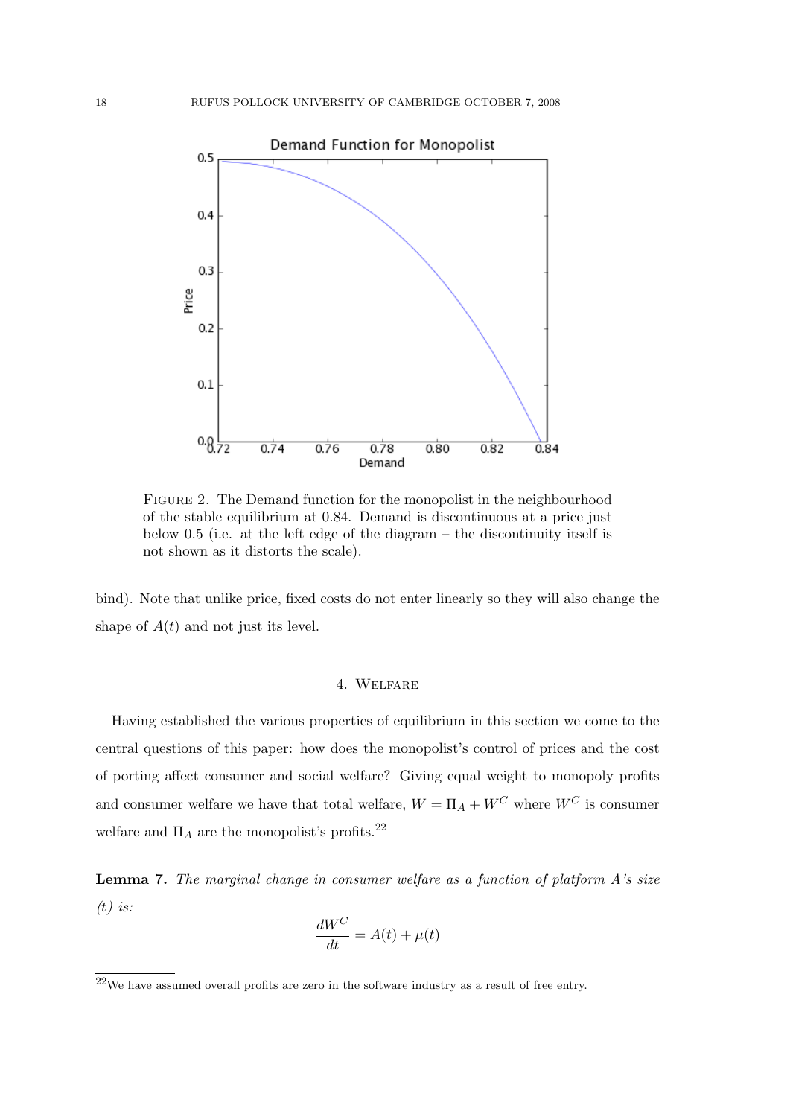

Figure 2. The Demand function for the monopolist in the neighbourhood of the stable equilibrium at 0.84. Demand is discontinuous at a price just below 0.5 (i.e. at the left edge of the diagram – the discontinuity itself is not shown as it distorts the scale).

bind). Note that unlike price, fixed costs do not enter linearly so they will also change the shape of  $A(t)$  and not just its level.

## 4. Welfare

Having established the various properties of equilibrium in this section we come to the central questions of this paper: how does the monopolist's control of prices and the cost of porting affect consumer and social welfare? Giving equal weight to monopoly profits and consumer welfare we have that total welfare,  $W = \Pi_A + W^C$  where  $W^C$  is consumer welfare and  $\Pi_A$  are the monopolist's profits.<sup>22</sup>

**Lemma 7.** The marginal change in consumer welfare as a function of platform  $A$ 's size  $(t)$  is:

$$
\frac{dW^C}{dt} = A(t) + \mu(t)
$$

 $^{22}\rm{We}$  have assumed overall profits are zero in the software industry as a result of free entry.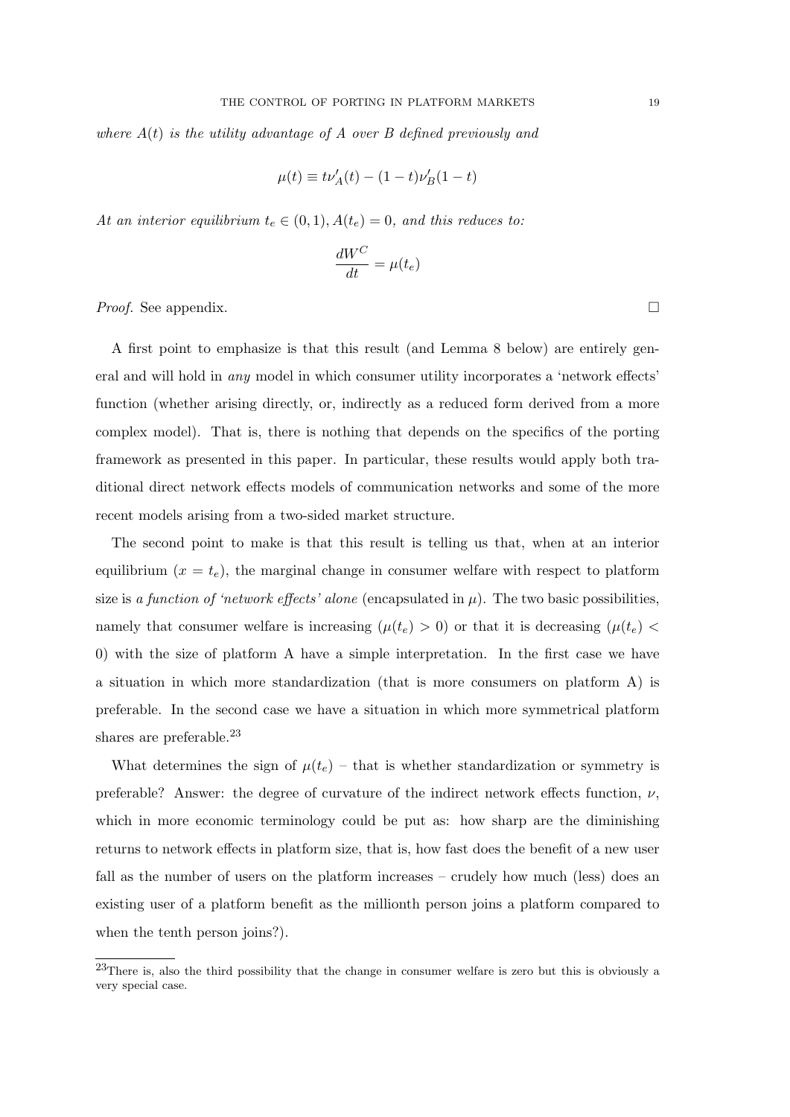where  $A(t)$  is the utility advantage of A over B defined previously and

$$
\mu(t) \equiv t\nu'_{A}(t) - (1-t)\nu'_{B}(1-t)
$$

At an interior equilibrium  $t_e \in (0,1)$ ,  $A(t_e) = 0$ , and this reduces to:

$$
\frac{dW^C}{dt} = \mu(t_e)
$$

*Proof.* See appendix.  $\Box$ 

A first point to emphasize is that this result (and Lemma 8 below) are entirely general and will hold in any model in which consumer utility incorporates a 'network effects' function (whether arising directly, or, indirectly as a reduced form derived from a more complex model). That is, there is nothing that depends on the specifics of the porting framework as presented in this paper. In particular, these results would apply both traditional direct network effects models of communication networks and some of the more recent models arising from a two-sided market structure.

The second point to make is that this result is telling us that, when at an interior equilibrium  $(x = t_e)$ , the marginal change in consumer welfare with respect to platform size is a function of 'network effects' alone (encapsulated in  $\mu$ ). The two basic possibilities, namely that consumer welfare is increasing  $(\mu(t_e) > 0)$  or that it is decreasing  $(\mu(t_e) <$ 0) with the size of platform A have a simple interpretation. In the first case we have a situation in which more standardization (that is more consumers on platform A) is preferable. In the second case we have a situation in which more symmetrical platform shares are preferable.<sup>23</sup>

What determines the sign of  $\mu(t_e)$  – that is whether standardization or symmetry is preferable? Answer: the degree of curvature of the indirect network effects function,  $\nu$ , which in more economic terminology could be put as: how sharp are the diminishing returns to network effects in platform size, that is, how fast does the benefit of a new user fall as the number of users on the platform increases – crudely how much (less) does an existing user of a platform benefit as the millionth person joins a platform compared to when the tenth person joins?).

<sup>&</sup>lt;sup>23</sup>There is, also the third possibility that the change in consumer welfare is zero but this is obviously a very special case.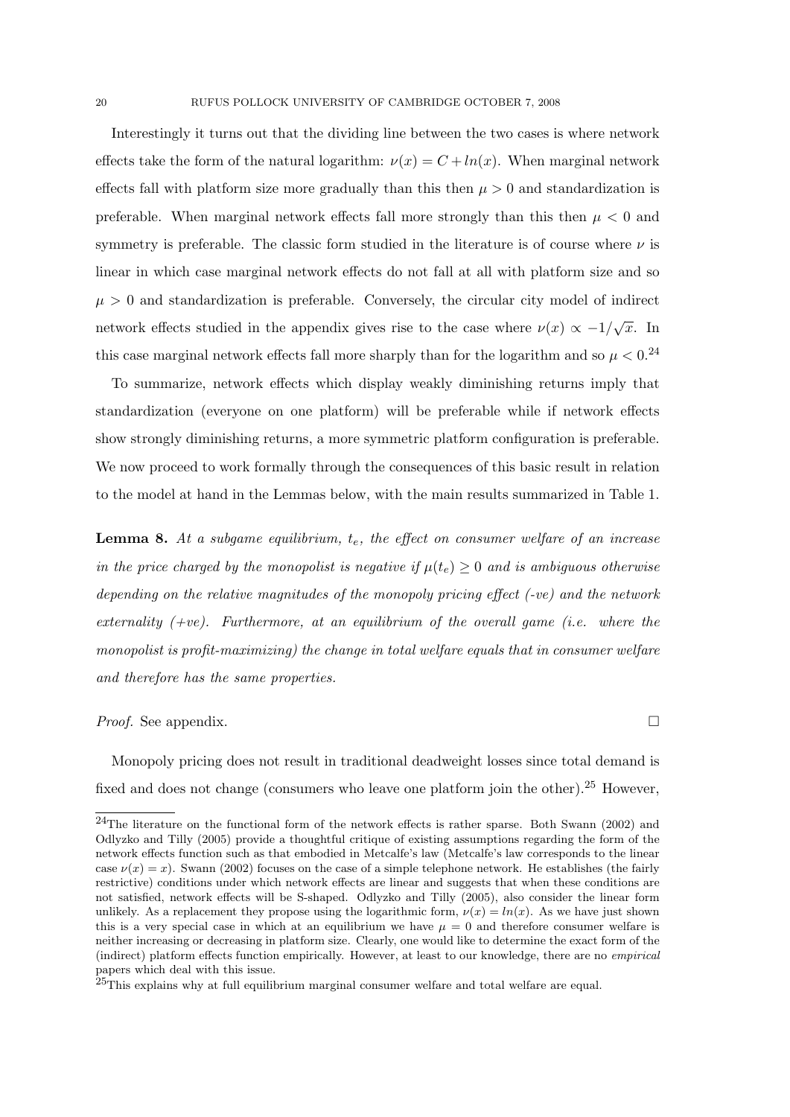Interestingly it turns out that the dividing line between the two cases is where network effects take the form of the natural logarithm:  $\nu(x) = C + ln(x)$ . When marginal network effects fall with platform size more gradually than this then  $\mu > 0$  and standardization is preferable. When marginal network effects fall more strongly than this then  $\mu < 0$  and symmetry is preferable. The classic form studied in the literature is of course where  $\nu$  is linear in which case marginal network effects do not fall at all with platform size and so  $\mu > 0$  and standardization is preferable. Conversely, the circular city model of indirect network effects studied in the appendix gives rise to the case where  $\nu(x) \propto -1/\sqrt{x}$ . In this case marginal network effects fall more sharply than for the logarithm and so  $\mu < 0^{24}$ 

To summarize, network effects which display weakly diminishing returns imply that standardization (everyone on one platform) will be preferable while if network effects show strongly diminishing returns, a more symmetric platform configuration is preferable. We now proceed to work formally through the consequences of this basic result in relation to the model at hand in the Lemmas below, with the main results summarized in Table 1.

**Lemma 8.** At a subgame equilibrium,  $t_e$ , the effect on consumer welfare of an increase in the price charged by the monopolist is negative if  $\mu(t_e) \geq 0$  and is ambiguous otherwise depending on the relative magnitudes of the monopoly pricing effect (-ve) and the network externality  $(+ve)$ . Furthermore, at an equilibrium of the overall game (i.e. where the monopolist is profit-maximizing) the change in total welfare equals that in consumer welfare and therefore has the same properties.

#### *Proof.* See appendix.  $\Box$

Monopoly pricing does not result in traditional deadweight losses since total demand is fixed and does not change (consumers who leave one platform join the other).<sup>25</sup> However,

<sup>&</sup>lt;sup>24</sup>The literature on the functional form of the network effects is rather sparse. Both Swann (2002) and Odlyzko and Tilly (2005) provide a thoughtful critique of existing assumptions regarding the form of the network effects function such as that embodied in Metcalfe's law (Metcalfe's law corresponds to the linear case  $\nu(x) = x$ ). Swann (2002) focuses on the case of a simple telephone network. He establishes (the fairly restrictive) conditions under which network effects are linear and suggests that when these conditions are not satisfied, network effects will be S-shaped. Odlyzko and Tilly (2005), also consider the linear form unlikely. As a replacement they propose using the logarithmic form,  $\nu(x) = \ln(x)$ . As we have just shown this is a very special case in which at an equilibrium we have  $\mu = 0$  and therefore consumer welfare is neither increasing or decreasing in platform size. Clearly, one would like to determine the exact form of the (indirect) platform effects function empirically. However, at least to our knowledge, there are no empirical papers which deal with this issue.

 $25$ This explains why at full equilibrium marginal consumer welfare and total welfare are equal.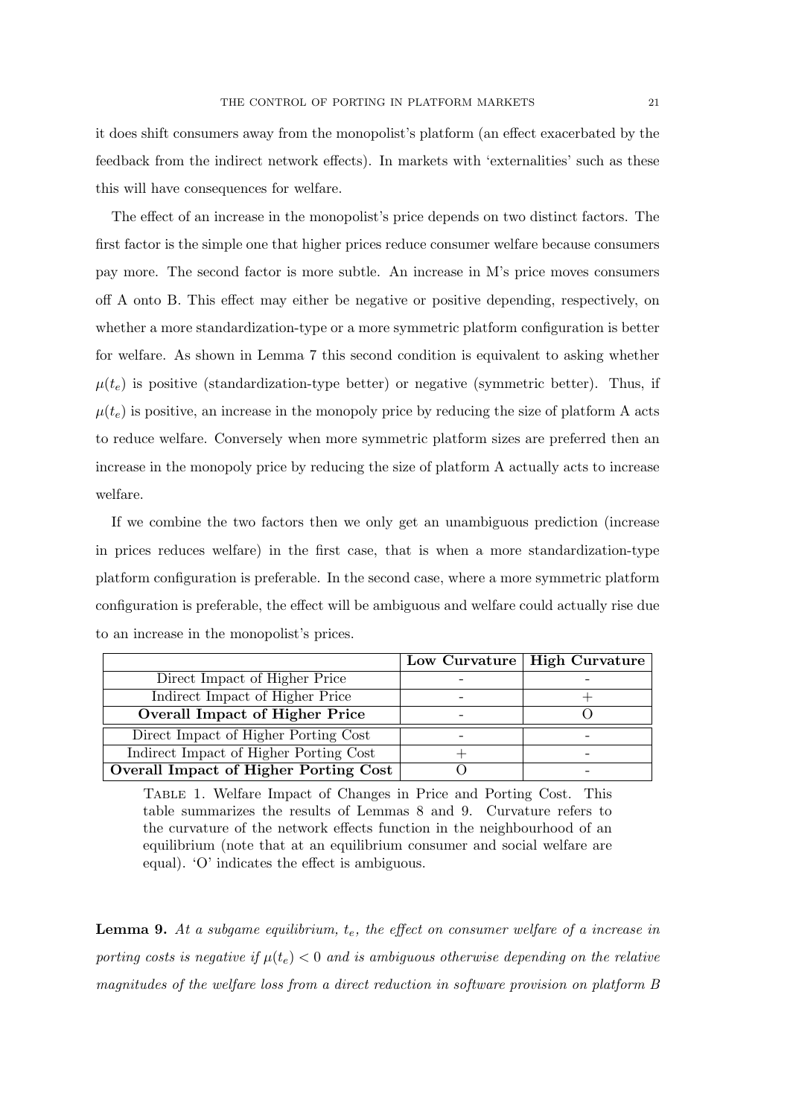it does shift consumers away from the monopolist's platform (an effect exacerbated by the feedback from the indirect network effects). In markets with 'externalities' such as these this will have consequences for welfare.

The effect of an increase in the monopolist's price depends on two distinct factors. The first factor is the simple one that higher prices reduce consumer welfare because consumers pay more. The second factor is more subtle. An increase in M's price moves consumers off A onto B. This effect may either be negative or positive depending, respectively, on whether a more standardization-type or a more symmetric platform configuration is better for welfare. As shown in Lemma 7 this second condition is equivalent to asking whether  $\mu(t_e)$  is positive (standardization-type better) or negative (symmetric better). Thus, if  $\mu(t_e)$  is positive, an increase in the monopoly price by reducing the size of platform A acts to reduce welfare. Conversely when more symmetric platform sizes are preferred then an increase in the monopoly price by reducing the size of platform A actually acts to increase welfare.

If we combine the two factors then we only get an unambiguous prediction (increase in prices reduces welfare) in the first case, that is when a more standardization-type platform configuration is preferable. In the second case, where a more symmetric platform configuration is preferable, the effect will be ambiguous and welfare could actually rise due to an increase in the monopolist's prices.

|                                        | Low Curvature   High Curvature |
|----------------------------------------|--------------------------------|
| Direct Impact of Higher Price          |                                |
| Indirect Impact of Higher Price        |                                |
| <b>Overall Impact of Higher Price</b>  |                                |
| Direct Impact of Higher Porting Cost   |                                |
| Indirect Impact of Higher Porting Cost |                                |
| Overall Impact of Higher Porting Cost  |                                |

Table 1. Welfare Impact of Changes in Price and Porting Cost. This table summarizes the results of Lemmas 8 and 9. Curvature refers to the curvature of the network effects function in the neighbourhood of an equilibrium (note that at an equilibrium consumer and social welfare are equal). 'O' indicates the effect is ambiguous.

**Lemma 9.** At a subgame equilibrium,  $t_e$ , the effect on consumer welfare of a increase in porting costs is negative if  $\mu(t_e) < 0$  and is ambiguous otherwise depending on the relative magnitudes of the welfare loss from a direct reduction in software provision on platform B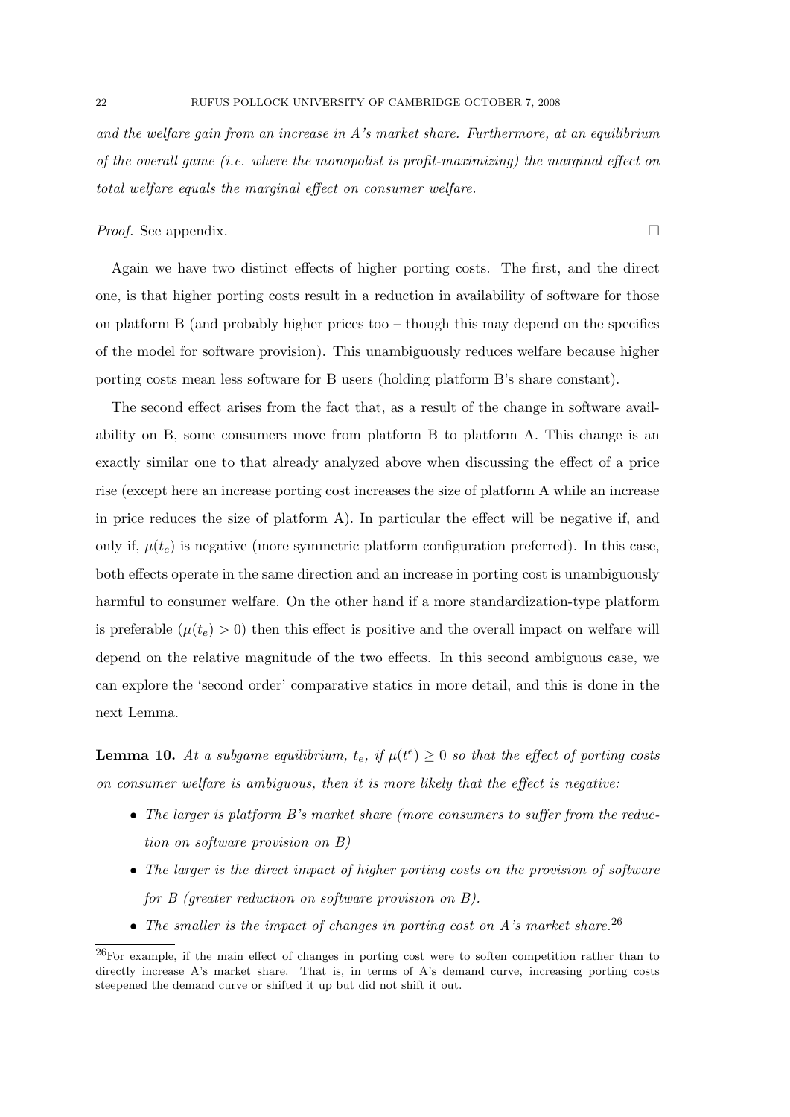and the welfare gain from an increase in A's market share. Furthermore, at an equilibrium of the overall game (i.e. where the monopolist is profit-maximizing) the marginal effect on total welfare equals the marginal effect on consumer welfare.

# *Proof.* See appendix.  $\Box$

Again we have two distinct effects of higher porting costs. The first, and the direct one, is that higher porting costs result in a reduction in availability of software for those on platform B (and probably higher prices too – though this may depend on the specifics of the model for software provision). This unambiguously reduces welfare because higher porting costs mean less software for B users (holding platform B's share constant).

The second effect arises from the fact that, as a result of the change in software availability on B, some consumers move from platform B to platform A. This change is an exactly similar one to that already analyzed above when discussing the effect of a price rise (except here an increase porting cost increases the size of platform A while an increase in price reduces the size of platform A). In particular the effect will be negative if, and only if,  $\mu(t_e)$  is negative (more symmetric platform configuration preferred). In this case, both effects operate in the same direction and an increase in porting cost is unambiguously harmful to consumer welfare. On the other hand if a more standardization-type platform is preferable  $(\mu(t_e) > 0)$  then this effect is positive and the overall impact on welfare will depend on the relative magnitude of the two effects. In this second ambiguous case, we can explore the 'second order' comparative statics in more detail, and this is done in the next Lemma.

**Lemma 10.** At a subgame equilibrium,  $t_e$ , if  $\mu(t^e) \geq 0$  so that the effect of porting costs on consumer welfare is ambiguous, then it is more likely that the effect is negative:

- The larger is platform B's market share (more consumers to suffer from the reduction on software provision on B)
- The larger is the direct impact of higher porting costs on the provision of software for B (greater reduction on software provision on B).
- The smaller is the impact of changes in porting cost on A's market share.<sup>26</sup>

<sup>26</sup>For example, if the main effect of changes in porting cost were to soften competition rather than to directly increase A's market share. That is, in terms of A's demand curve, increasing porting costs steepened the demand curve or shifted it up but did not shift it out.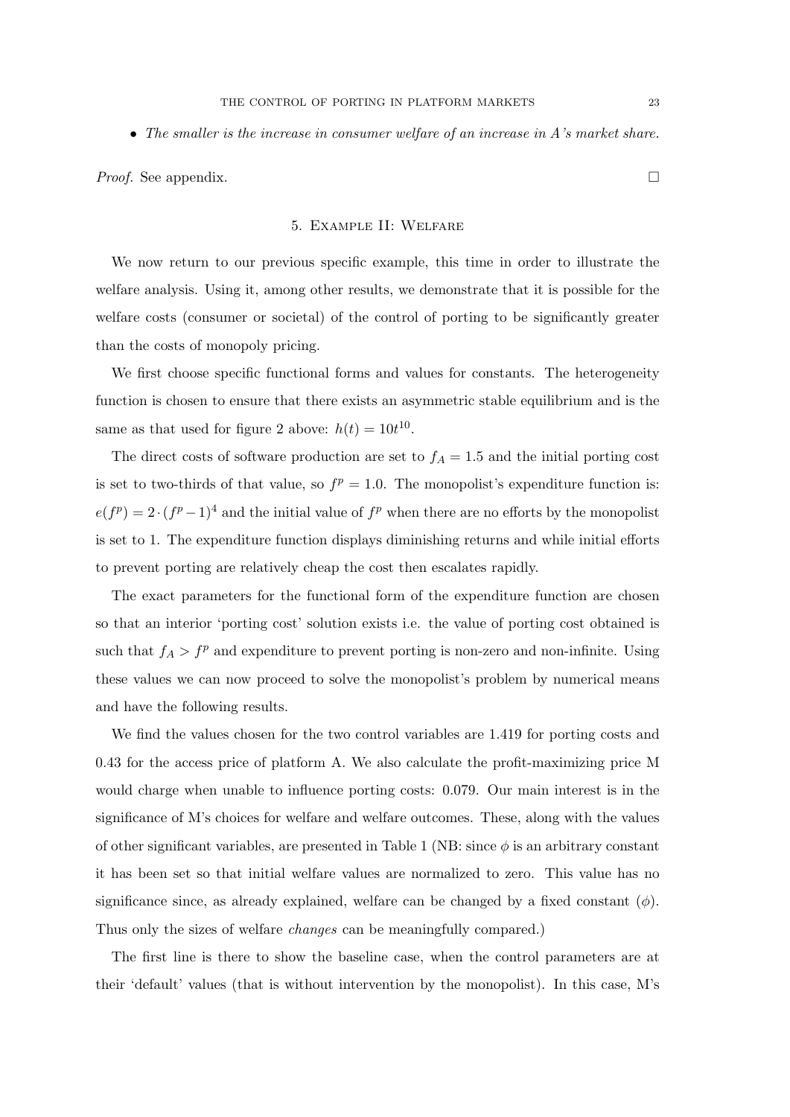• The smaller is the increase in consumer welfare of an increase in A's market share.

*Proof.* See appendix.  $\Box$ 

### 5. Example II: Welfare

We now return to our previous specific example, this time in order to illustrate the welfare analysis. Using it, among other results, we demonstrate that it is possible for the welfare costs (consumer or societal) of the control of porting to be significantly greater than the costs of monopoly pricing.

We first choose specific functional forms and values for constants. The heterogeneity function is chosen to ensure that there exists an asymmetric stable equilibrium and is the same as that used for figure 2 above:  $h(t) = 10t^{10}$ .

The direct costs of software production are set to  $f_A = 1.5$  and the initial porting cost is set to two-thirds of that value, so  $f^p = 1.0$ . The monopolist's expenditure function is:  $e(f^p) = 2 \cdot (f^p - 1)^4$  and the initial value of  $f^p$  when there are no efforts by the monopolist is set to 1. The expenditure function displays diminishing returns and while initial efforts to prevent porting are relatively cheap the cost then escalates rapidly.

The exact parameters for the functional form of the expenditure function are chosen so that an interior 'porting cost' solution exists i.e. the value of porting cost obtained is such that  $f_A > f^p$  and expenditure to prevent porting is non-zero and non-infinite. Using these values we can now proceed to solve the monopolist's problem by numerical means and have the following results.

We find the values chosen for the two control variables are 1.419 for porting costs and 0.43 for the access price of platform A. We also calculate the profit-maximizing price M would charge when unable to influence porting costs: 0.079. Our main interest is in the significance of M's choices for welfare and welfare outcomes. These, along with the values of other significant variables, are presented in Table 1 (NB: since  $\phi$  is an arbitrary constant it has been set so that initial welfare values are normalized to zero. This value has no significance since, as already explained, welfare can be changed by a fixed constant  $(\phi)$ . Thus only the sizes of welfare changes can be meaningfully compared.)

The first line is there to show the baseline case, when the control parameters are at their 'default' values (that is without intervention by the monopolist). In this case, M's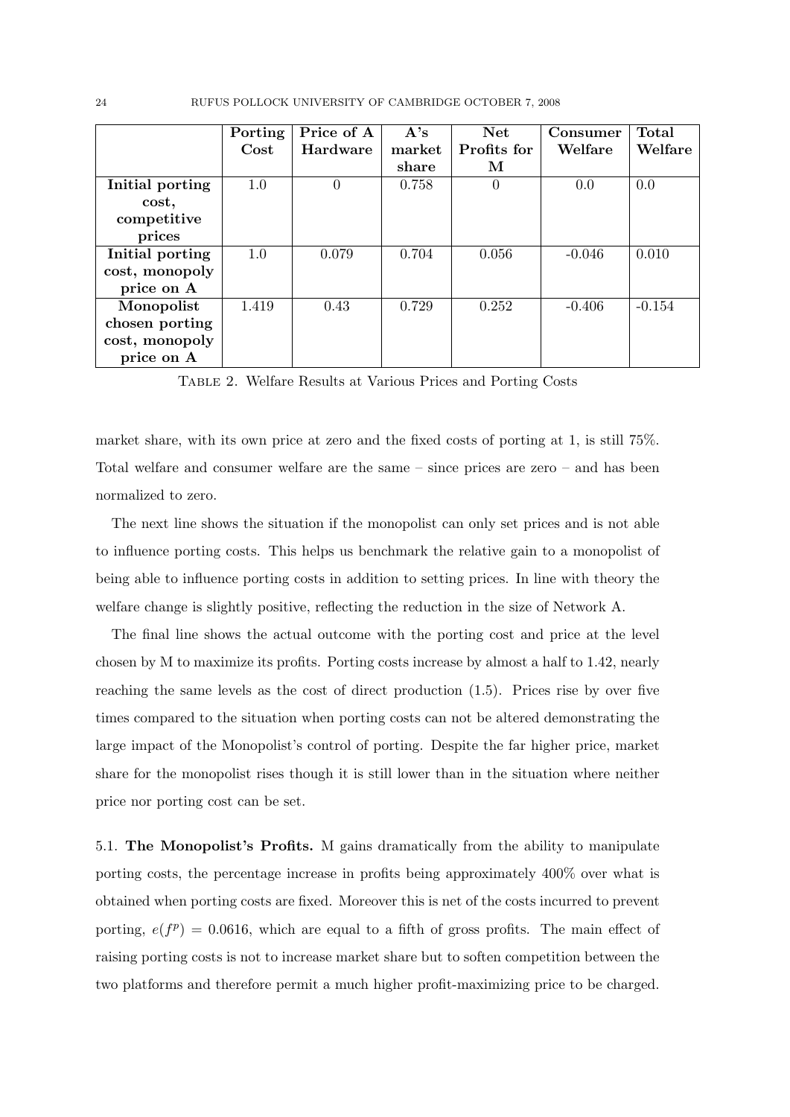24 RUFUS POLLOCK UNIVERSITY OF CAMBRIDGE OCTOBER 7, 2008

|                 | Porting | Price of A | A's    | <b>Net</b>  | Consumer | <b>Total</b> |
|-----------------|---------|------------|--------|-------------|----------|--------------|
|                 | Cost    | Hardware   | market | Profits for | Welfare  | Welfare      |
|                 |         |            | share  | М           |          |              |
| Initial porting | 1.0     | $\Omega$   | 0.758  | $\theta$    | 0.0      | 0.0          |
| cost,           |         |            |        |             |          |              |
| competitive     |         |            |        |             |          |              |
| prices          |         |            |        |             |          |              |
| Initial porting | 1.0     | 0.079      | 0.704  | 0.056       | $-0.046$ | 0.010        |
| cost, monopoly  |         |            |        |             |          |              |
| price on A      |         |            |        |             |          |              |
| Monopolist      | 1.419   | 0.43       | 0.729  | 0.252       | $-0.406$ | $-0.154$     |
| chosen porting  |         |            |        |             |          |              |
| cost, monopoly  |         |            |        |             |          |              |
| price on A      |         |            |        |             |          |              |

Table 2. Welfare Results at Various Prices and Porting Costs

market share, with its own price at zero and the fixed costs of porting at 1, is still 75%. Total welfare and consumer welfare are the same – since prices are zero – and has been normalized to zero.

The next line shows the situation if the monopolist can only set prices and is not able to influence porting costs. This helps us benchmark the relative gain to a monopolist of being able to influence porting costs in addition to setting prices. In line with theory the welfare change is slightly positive, reflecting the reduction in the size of Network A.

The final line shows the actual outcome with the porting cost and price at the level chosen by M to maximize its profits. Porting costs increase by almost a half to 1.42, nearly reaching the same levels as the cost of direct production (1.5). Prices rise by over five times compared to the situation when porting costs can not be altered demonstrating the large impact of the Monopolist's control of porting. Despite the far higher price, market share for the monopolist rises though it is still lower than in the situation where neither price nor porting cost can be set.

5.1. The Monopolist's Profits. M gains dramatically from the ability to manipulate porting costs, the percentage increase in profits being approximately 400% over what is obtained when porting costs are fixed. Moreover this is net of the costs incurred to prevent porting,  $e(f^p) = 0.0616$ , which are equal to a fifth of gross profits. The main effect of raising porting costs is not to increase market share but to soften competition between the two platforms and therefore permit a much higher profit-maximizing price to be charged.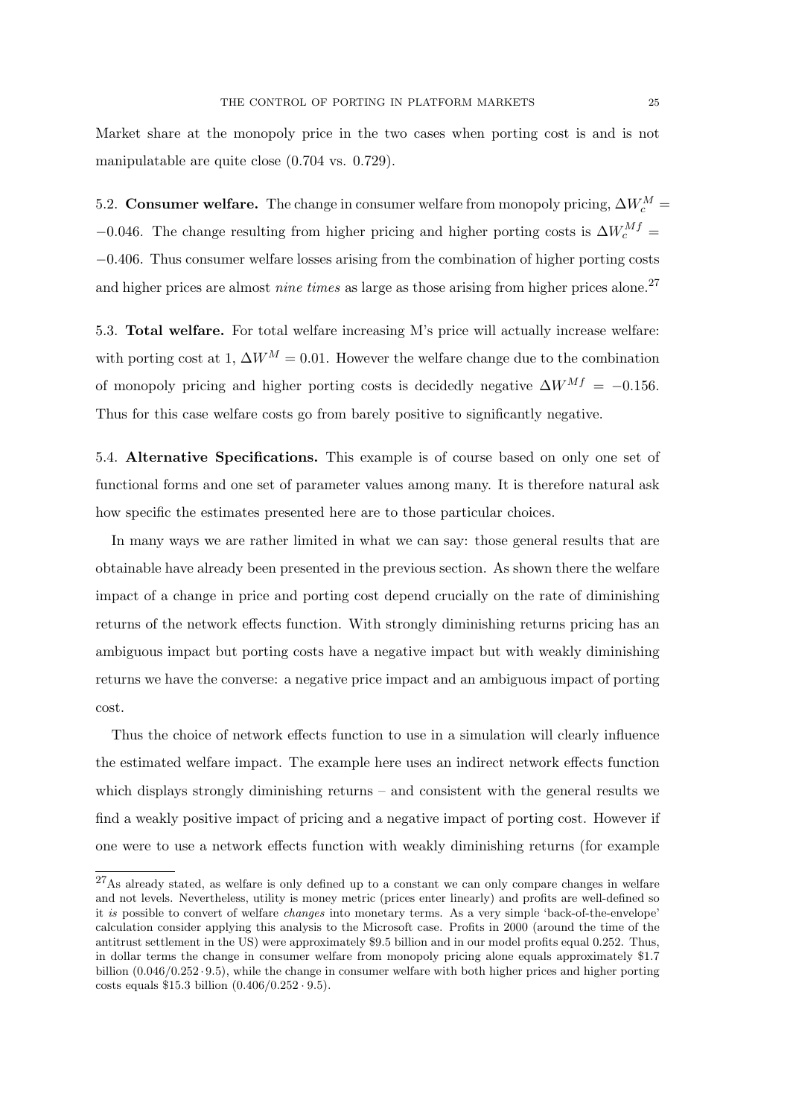Market share at the monopoly price in the two cases when porting cost is and is not manipulatable are quite close (0.704 vs. 0.729).

5.2. Consumer welfare. The change in consumer welfare from monopoly pricing,  $\Delta W_c^M$  = −0.046. The change resulting from higher pricing and higher porting costs is  $\Delta W_c^{Mf}$  = −0.406. Thus consumer welfare losses arising from the combination of higher porting costs and higher prices are almost *nine times* as large as those arising from higher prices alone.<sup>27</sup>

5.3. Total welfare. For total welfare increasing M's price will actually increase welfare: with porting cost at 1,  $\Delta W^M = 0.01$ . However the welfare change due to the combination of monopoly pricing and higher porting costs is decidedly negative  $\Delta W^{Mf} = -0.156$ . Thus for this case welfare costs go from barely positive to significantly negative.

5.4. Alternative Specifications. This example is of course based on only one set of functional forms and one set of parameter values among many. It is therefore natural ask how specific the estimates presented here are to those particular choices.

In many ways we are rather limited in what we can say: those general results that are obtainable have already been presented in the previous section. As shown there the welfare impact of a change in price and porting cost depend crucially on the rate of diminishing returns of the network effects function. With strongly diminishing returns pricing has an ambiguous impact but porting costs have a negative impact but with weakly diminishing returns we have the converse: a negative price impact and an ambiguous impact of porting cost.

Thus the choice of network effects function to use in a simulation will clearly influence the estimated welfare impact. The example here uses an indirect network effects function which displays strongly diminishing returns – and consistent with the general results we find a weakly positive impact of pricing and a negative impact of porting cost. However if one were to use a network effects function with weakly diminishing returns (for example

<sup>27</sup>As already stated, as welfare is only defined up to a constant we can only compare changes in welfare and not levels. Nevertheless, utility is money metric (prices enter linearly) and profits are well-defined so it is possible to convert of welfare changes into monetary terms. As a very simple 'back-of-the-envelope' calculation consider applying this analysis to the Microsoft case. Profits in 2000 (around the time of the antitrust settlement in the US) were approximately \$9.5 billion and in our model profits equal 0.252. Thus, in dollar terms the change in consumer welfare from monopoly pricing alone equals approximately \$1.7 billion (0.046/0.252 · 9.5), while the change in consumer welfare with both higher prices and higher porting costs equals  $$15.3$  billion  $(0.406/0.252 \cdot 9.5)$ .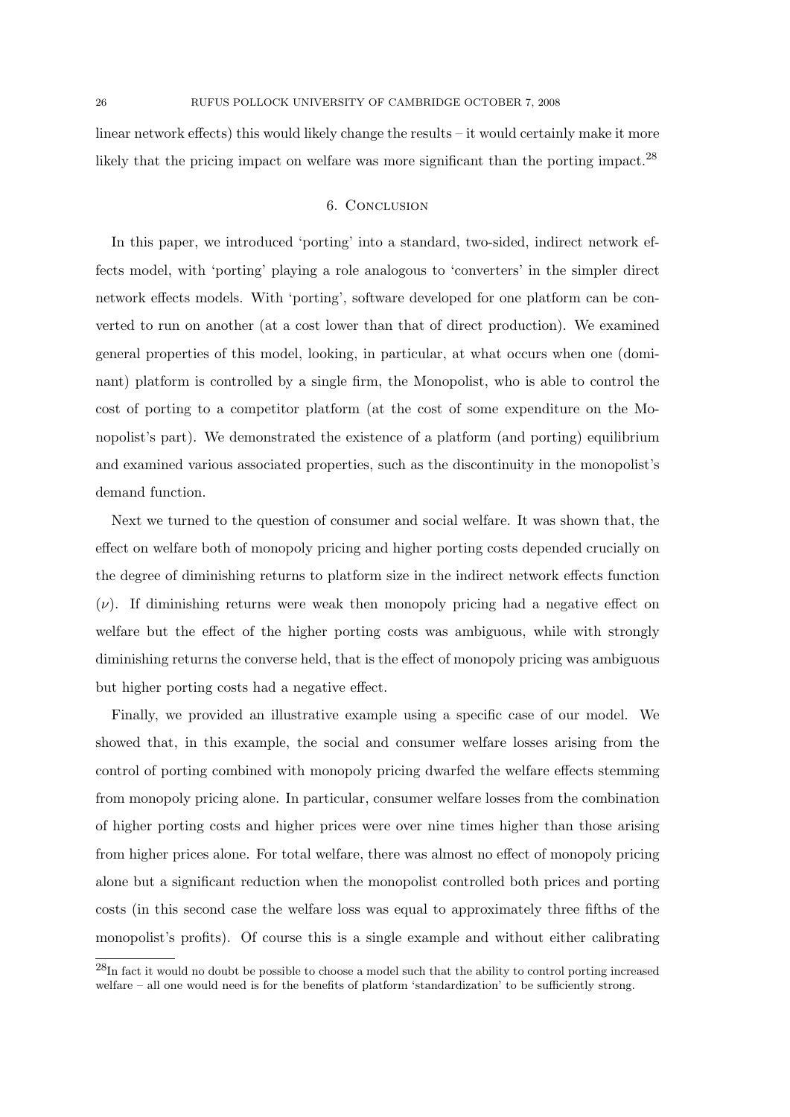linear network effects) this would likely change the results – it would certainly make it more likely that the pricing impact on welfare was more significant than the porting impact.<sup>28</sup>

## 6. Conclusion

In this paper, we introduced 'porting' into a standard, two-sided, indirect network effects model, with 'porting' playing a role analogous to 'converters' in the simpler direct network effects models. With 'porting', software developed for one platform can be converted to run on another (at a cost lower than that of direct production). We examined general properties of this model, looking, in particular, at what occurs when one (dominant) platform is controlled by a single firm, the Monopolist, who is able to control the cost of porting to a competitor platform (at the cost of some expenditure on the Monopolist's part). We demonstrated the existence of a platform (and porting) equilibrium and examined various associated properties, such as the discontinuity in the monopolist's demand function.

Next we turned to the question of consumer and social welfare. It was shown that, the effect on welfare both of monopoly pricing and higher porting costs depended crucially on the degree of diminishing returns to platform size in the indirect network effects function  $(\nu)$ . If diminishing returns were weak then monopoly pricing had a negative effect on welfare but the effect of the higher porting costs was ambiguous, while with strongly diminishing returns the converse held, that is the effect of monopoly pricing was ambiguous but higher porting costs had a negative effect.

Finally, we provided an illustrative example using a specific case of our model. We showed that, in this example, the social and consumer welfare losses arising from the control of porting combined with monopoly pricing dwarfed the welfare effects stemming from monopoly pricing alone. In particular, consumer welfare losses from the combination of higher porting costs and higher prices were over nine times higher than those arising from higher prices alone. For total welfare, there was almost no effect of monopoly pricing alone but a significant reduction when the monopolist controlled both prices and porting costs (in this second case the welfare loss was equal to approximately three fifths of the monopolist's profits). Of course this is a single example and without either calibrating

<sup>28</sup>In fact it would no doubt be possible to choose a model such that the ability to control porting increased welfare – all one would need is for the benefits of platform 'standardization' to be sufficiently strong.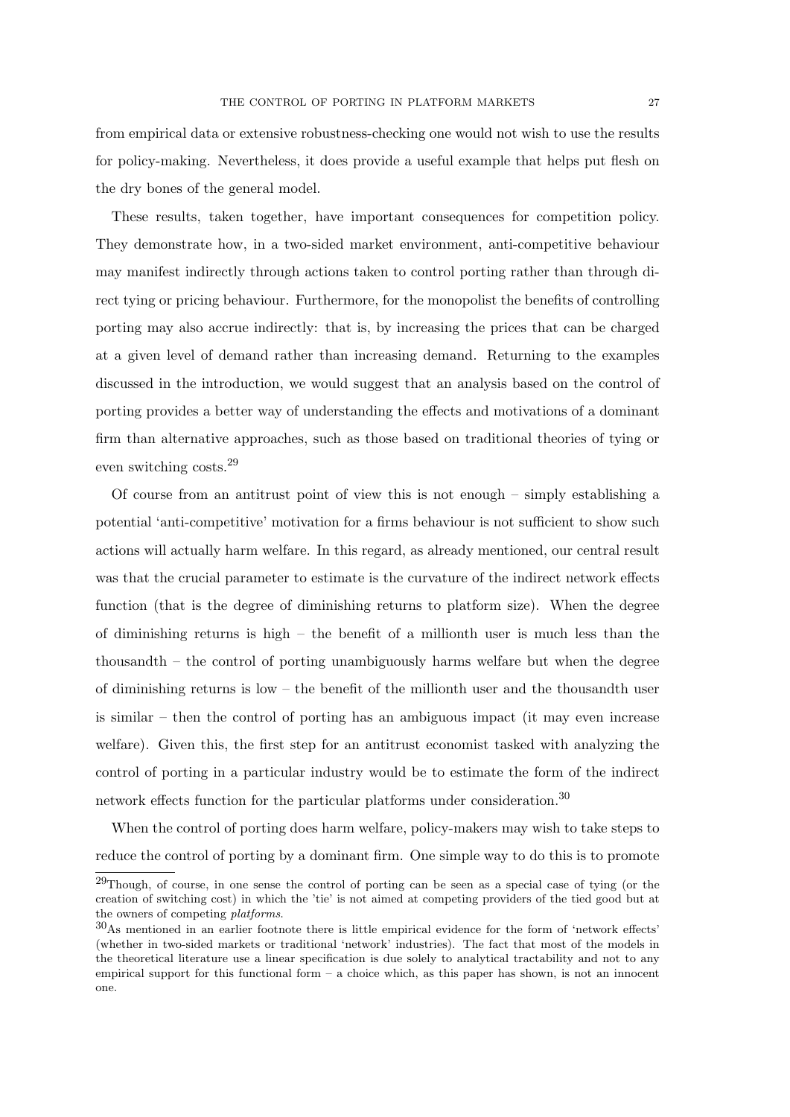from empirical data or extensive robustness-checking one would not wish to use the results for policy-making. Nevertheless, it does provide a useful example that helps put flesh on the dry bones of the general model.

These results, taken together, have important consequences for competition policy. They demonstrate how, in a two-sided market environment, anti-competitive behaviour may manifest indirectly through actions taken to control porting rather than through direct tying or pricing behaviour. Furthermore, for the monopolist the benefits of controlling porting may also accrue indirectly: that is, by increasing the prices that can be charged at a given level of demand rather than increasing demand. Returning to the examples discussed in the introduction, we would suggest that an analysis based on the control of porting provides a better way of understanding the effects and motivations of a dominant firm than alternative approaches, such as those based on traditional theories of tying or even switching costs.<sup>29</sup>

Of course from an antitrust point of view this is not enough – simply establishing a potential 'anti-competitive' motivation for a firms behaviour is not sufficient to show such actions will actually harm welfare. In this regard, as already mentioned, our central result was that the crucial parameter to estimate is the curvature of the indirect network effects function (that is the degree of diminishing returns to platform size). When the degree of diminishing returns is high – the benefit of a millionth user is much less than the thousandth – the control of porting unambiguously harms welfare but when the degree of diminishing returns is low – the benefit of the millionth user and the thousandth user is similar – then the control of porting has an ambiguous impact (it may even increase welfare). Given this, the first step for an antitrust economist tasked with analyzing the control of porting in a particular industry would be to estimate the form of the indirect network effects function for the particular platforms under consideration.<sup>30</sup>

When the control of porting does harm welfare, policy-makers may wish to take steps to reduce the control of porting by a dominant firm. One simple way to do this is to promote

<sup>&</sup>lt;sup>29</sup>Though, of course, in one sense the control of porting can be seen as a special case of tying (or the creation of switching cost) in which the 'tie' is not aimed at competing providers of the tied good but at the owners of competing platforms.

<sup>30</sup>As mentioned in an earlier footnote there is little empirical evidence for the form of 'network effects' (whether in two-sided markets or traditional 'network' industries). The fact that most of the models in the theoretical literature use a linear specification is due solely to analytical tractability and not to any empirical support for this functional form  $-$  a choice which, as this paper has shown, is not an innocent one.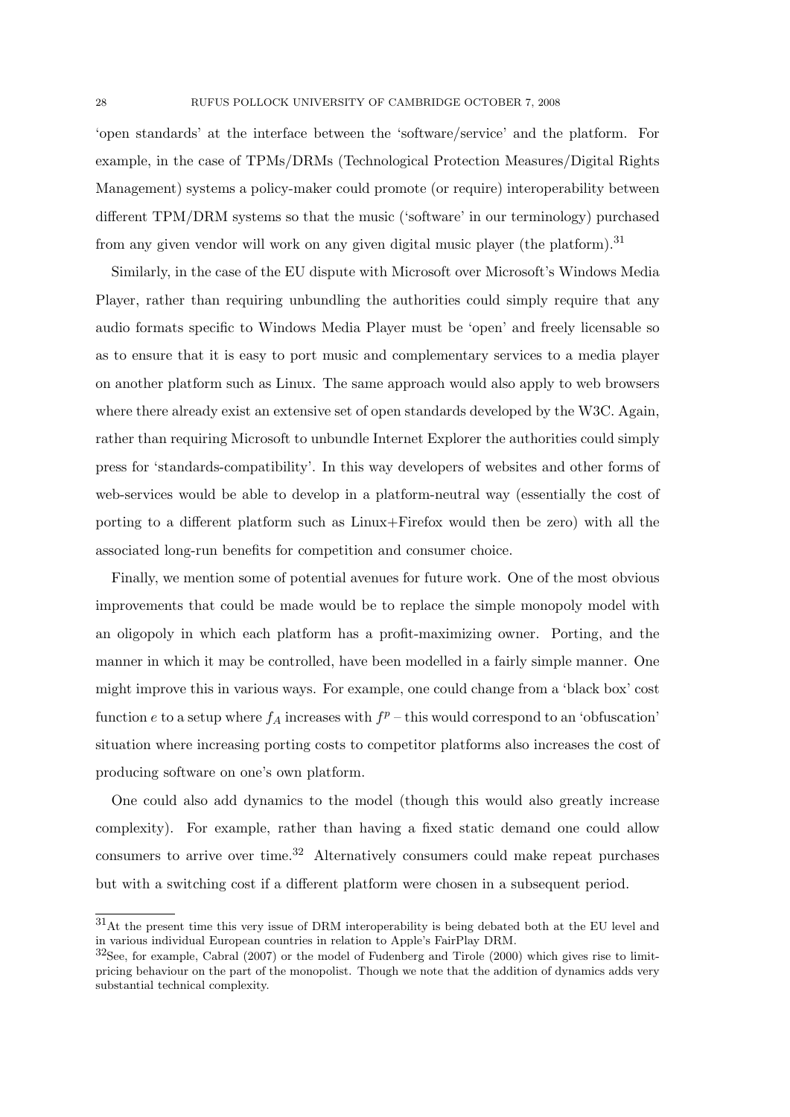'open standards' at the interface between the 'software/service' and the platform. For example, in the case of TPMs/DRMs (Technological Protection Measures/Digital Rights Management) systems a policy-maker could promote (or require) interoperability between different TPM/DRM systems so that the music ('software' in our terminology) purchased from any given vendor will work on any given digital music player (the platform).<sup>31</sup>

Similarly, in the case of the EU dispute with Microsoft over Microsoft's Windows Media Player, rather than requiring unbundling the authorities could simply require that any audio formats specific to Windows Media Player must be 'open' and freely licensable so as to ensure that it is easy to port music and complementary services to a media player on another platform such as Linux. The same approach would also apply to web browsers where there already exist an extensive set of open standards developed by the W3C. Again, rather than requiring Microsoft to unbundle Internet Explorer the authorities could simply press for 'standards-compatibility'. In this way developers of websites and other forms of web-services would be able to develop in a platform-neutral way (essentially the cost of porting to a different platform such as Linux+Firefox would then be zero) with all the associated long-run benefits for competition and consumer choice.

Finally, we mention some of potential avenues for future work. One of the most obvious improvements that could be made would be to replace the simple monopoly model with an oligopoly in which each platform has a profit-maximizing owner. Porting, and the manner in which it may be controlled, have been modelled in a fairly simple manner. One might improve this in various ways. For example, one could change from a 'black box' cost function e to a setup where  $f_A$  increases with  $f^p$  – this would correspond to an 'obfuscation' situation where increasing porting costs to competitor platforms also increases the cost of producing software on one's own platform.

One could also add dynamics to the model (though this would also greatly increase complexity). For example, rather than having a fixed static demand one could allow consumers to arrive over time.<sup>32</sup> Alternatively consumers could make repeat purchases but with a switching cost if a different platform were chosen in a subsequent period.

<sup>31</sup>At the present time this very issue of DRM interoperability is being debated both at the EU level and in various individual European countries in relation to Apple's FairPlay DRM.

<sup>32</sup>See, for example, Cabral (2007) or the model of Fudenberg and Tirole (2000) which gives rise to limitpricing behaviour on the part of the monopolist. Though we note that the addition of dynamics adds very substantial technical complexity.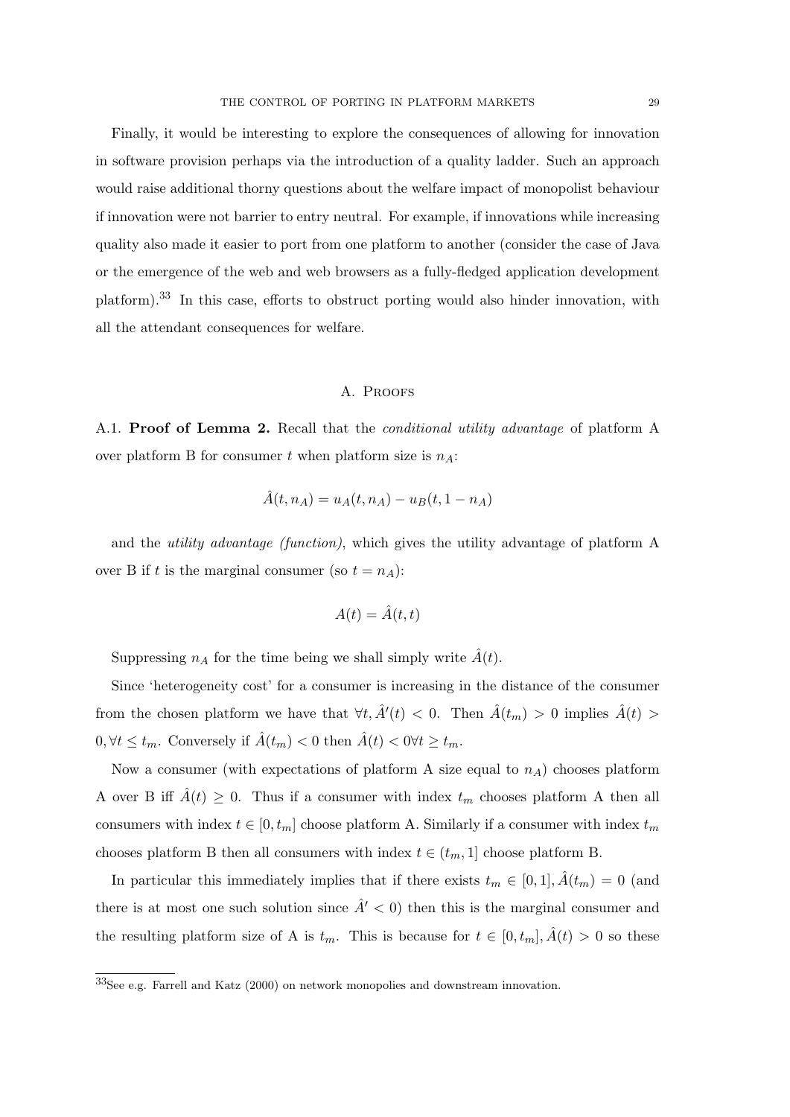Finally, it would be interesting to explore the consequences of allowing for innovation in software provision perhaps via the introduction of a quality ladder. Such an approach would raise additional thorny questions about the welfare impact of monopolist behaviour if innovation were not barrier to entry neutral. For example, if innovations while increasing quality also made it easier to port from one platform to another (consider the case of Java or the emergence of the web and web browsers as a fully-fledged application development platform).<sup>33</sup> In this case, efforts to obstruct porting would also hinder innovation, with all the attendant consequences for welfare.

### A. PROOFS

A.1. Proof of Lemma 2. Recall that the *conditional utility advantage* of platform A over platform B for consumer t when platform size is  $n_A$ :

$$
\hat{A}(t, n_A) = u_A(t, n_A) - u_B(t, 1 - n_A)
$$

and the utility advantage (function), which gives the utility advantage of platform A over B if t is the marginal consumer (so  $t = n_A$ ):

$$
A(t) = \hat{A}(t, t)
$$

Suppressing  $n_A$  for the time being we shall simply write  $A(t)$ .

Since 'heterogeneity cost' for a consumer is increasing in the distance of the consumer from the chosen platform we have that  $\forall t, \hat{A}'(t) < 0$ . Then  $\hat{A}(t_m) > 0$  implies  $\hat{A}(t) >$  $0, \forall t \leq t_m$ . Conversely if  $\hat{A}(t_m) < 0$  then  $\hat{A}(t) < 0 \forall t \geq t_m$ .

Now a consumer (with expectations of platform A size equal to  $n_A$ ) chooses platform A over B iff  $\hat{A}(t) \geq 0$ . Thus if a consumer with index  $t_m$  chooses platform A then all consumers with index  $t \in [0, t_m]$  choose platform A. Similarly if a consumer with index  $t_m$ chooses platform B then all consumers with index  $t \in (t_m, 1]$  choose platform B.

In particular this immediately implies that if there exists  $t_m \in [0,1], \hat{A}(t_m) = 0$  (and there is at most one such solution since  $\hat{A}' < 0$  then this is the marginal consumer and the resulting platform size of A is  $t_m$ . This is because for  $t \in [0, t_m], \hat{A}(t) > 0$  so these

<sup>33</sup>See e.g. Farrell and Katz (2000) on network monopolies and downstream innovation.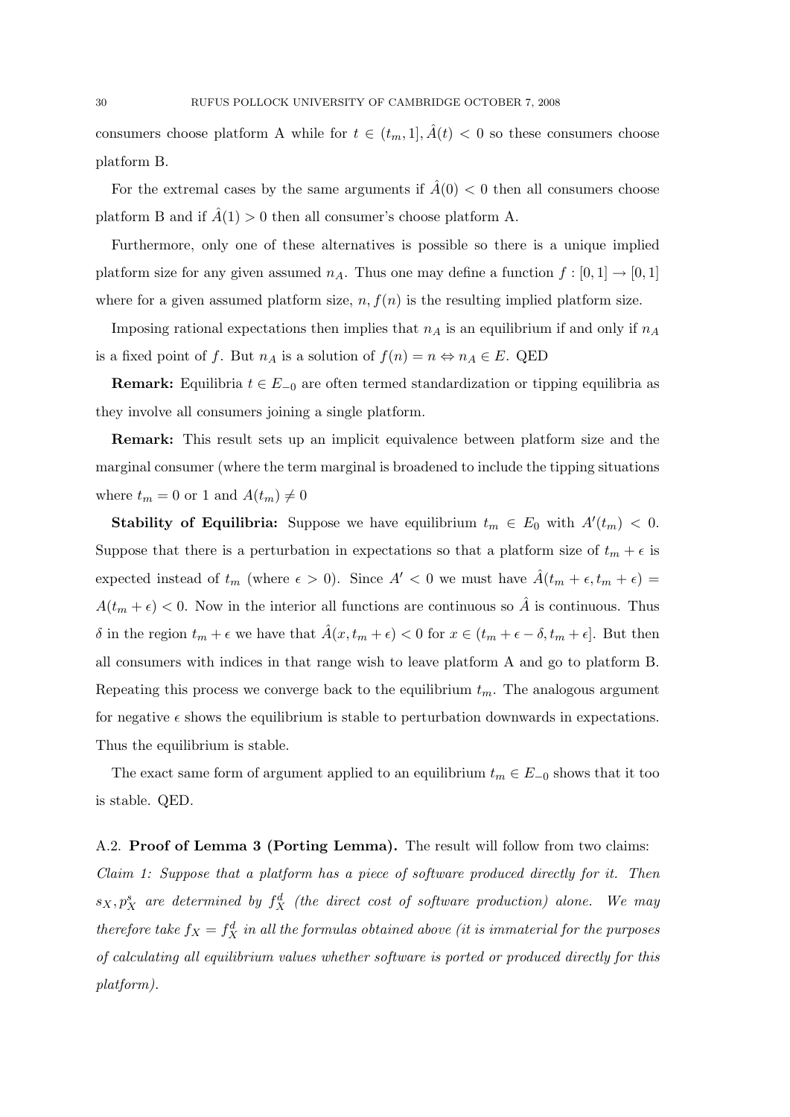consumers choose platform A while for  $t \in (t_m, 1], \hat{A}(t) < 0$  so these consumers choose platform B.

For the extremal cases by the same arguments if  $\hat{A}(0) < 0$  then all consumers choose platform B and if  $\hat{A}(1) > 0$  then all consumer's choose platform A.

Furthermore, only one of these alternatives is possible so there is a unique implied platform size for any given assumed  $n_A$ . Thus one may define a function  $f : [0, 1] \rightarrow [0, 1]$ where for a given assumed platform size,  $n, f(n)$  is the resulting implied platform size.

Imposing rational expectations then implies that  $n_A$  is an equilibrium if and only if  $n_A$ is a fixed point of f. But  $n_A$  is a solution of  $f(n) = n \Leftrightarrow n_A \in E$ . QED

**Remark:** Equilibria  $t \in E_{-0}$  are often termed standardization or tipping equilibria as they involve all consumers joining a single platform.

Remark: This result sets up an implicit equivalence between platform size and the marginal consumer (where the term marginal is broadened to include the tipping situations where  $t_m = 0$  or 1 and  $A(t_m) \neq 0$ 

**Stability of Equilibria:** Suppose we have equilibrium  $t_m \in E_0$  with  $A'(t_m) < 0$ . Suppose that there is a perturbation in expectations so that a platform size of  $t_m + \epsilon$  is expected instead of  $t_m$  (where  $\epsilon > 0$ ). Since  $A' < 0$  we must have  $\tilde{A}(t_m + \epsilon, t_m + \epsilon)$  $A(t_m + \epsilon) < 0$ . Now in the interior all functions are continuous so  $\hat{A}$  is continuous. Thus δ in the region  $t_m + \epsilon$  we have that  $\hat{A}(x, t_m + \epsilon) < 0$  for  $x \in (t_m + \epsilon - \delta, t_m + \epsilon]$ . But then all consumers with indices in that range wish to leave platform A and go to platform B. Repeating this process we converge back to the equilibrium  $t_m$ . The analogous argument for negative  $\epsilon$  shows the equilibrium is stable to perturbation downwards in expectations. Thus the equilibrium is stable.

The exact same form of argument applied to an equilibrium  $t_m \in E_{-0}$  shows that it too is stable. QED.

A.2. Proof of Lemma 3 (Porting Lemma). The result will follow from two claims: Claim 1: Suppose that a platform has a piece of software produced directly for it. Then  $s_X, p_X^s$  are determined by  $f_X^d$  (the direct cost of software production) alone. We may therefore take  $f_X = f_X^d$  in all the formulas obtained above (it is immaterial for the purposes of calculating all equilibrium values whether software is ported or produced directly for this platform).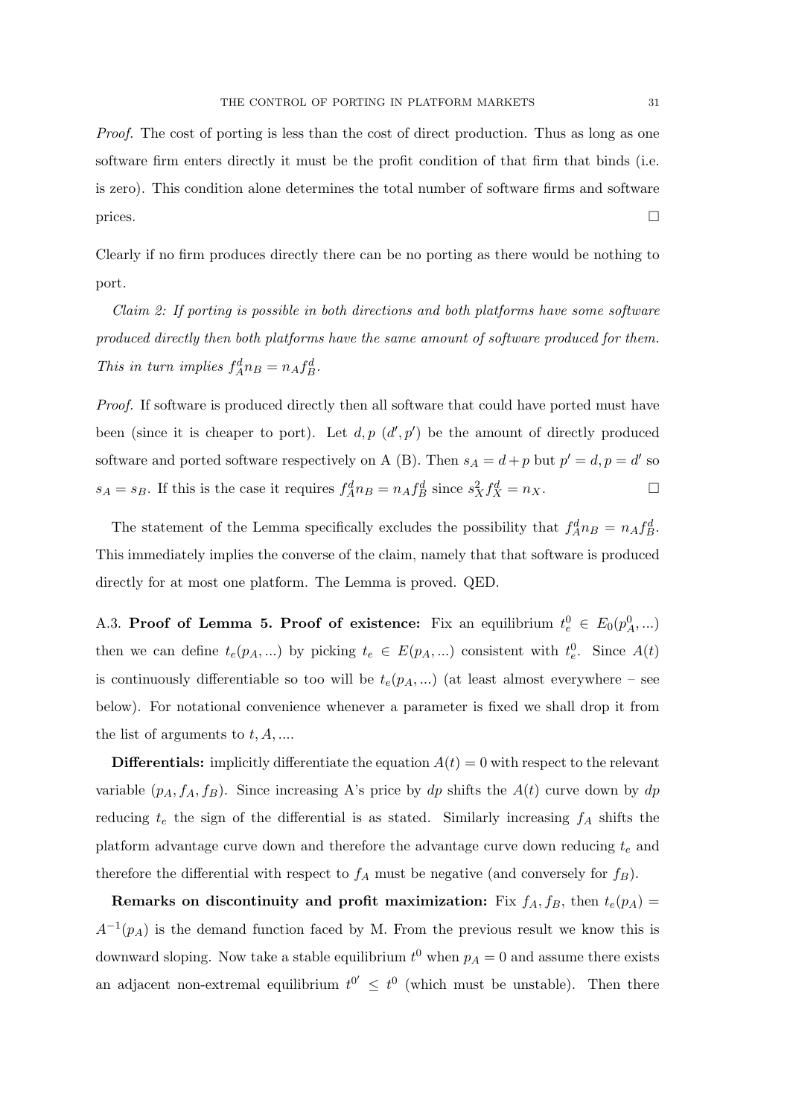Proof. The cost of porting is less than the cost of direct production. Thus as long as one software firm enters directly it must be the profit condition of that firm that binds (i.e. is zero). This condition alone determines the total number of software firms and software prices.

Clearly if no firm produces directly there can be no porting as there would be nothing to port.

Claim 2: If porting is possible in both directions and both platforms have some software produced directly then both platforms have the same amount of software produced for them. This in turn implies  $f_A^d n_B = n_A f_B^d$ .

Proof. If software is produced directly then all software that could have ported must have been (since it is cheaper to port). Let  $d, p \, (d', p')$  be the amount of directly produced software and ported software respectively on A (B). Then  $s_A = d + p$  but  $p' = d, p = d'$  so  $s_A = s_B$ . If this is the case it requires  $f_A^d n_B = n_A f_B^d$  since  $s_X^2 f_X^d = n_X$ .

The statement of the Lemma specifically excludes the possibility that  $f_A^d n_B = n_A f_B^d$ . This immediately implies the converse of the claim, namely that that software is produced directly for at most one platform. The Lemma is proved. QED.

A.3. Proof of Lemma 5. Proof of existence: Fix an equilibrium  $t_e^0 \in E_0(p_A^0,...)$ then we can define  $t_e(p_A,...)$  by picking  $t_e \in E(p_A,...)$  consistent with  $t_e^0$ . Since  $A(t)$ is continuously differentiable so too will be  $t_e(p_A, ...)$  (at least almost everywhere – see below). For notational convenience whenever a parameter is fixed we shall drop it from the list of arguments to  $t, A, \ldots$ .

**Differentials:** implicitly differentiate the equation  $A(t) = 0$  with respect to the relevant variable  $(p_A, f_A, f_B)$ . Since increasing A's price by dp shifts the  $A(t)$  curve down by dp reducing  $t_e$  the sign of the differential is as stated. Similarly increasing  $f_A$  shifts the platform advantage curve down and therefore the advantage curve down reducing  $t_e$  and therefore the differential with respect to  $f_A$  must be negative (and conversely for  $f_B$ ).

Remarks on discontinuity and profit maximization: Fix  $f_A, f_B$ , then  $t_e(p_A)$  $A^{-1}(p_A)$  is the demand function faced by M. From the previous result we know this is downward sloping. Now take a stable equilibrium  $t^0$  when  $p_A = 0$  and assume there exists an adjacent non-extremal equilibrium  $t^{0'} \n\leq t^0$  (which must be unstable). Then there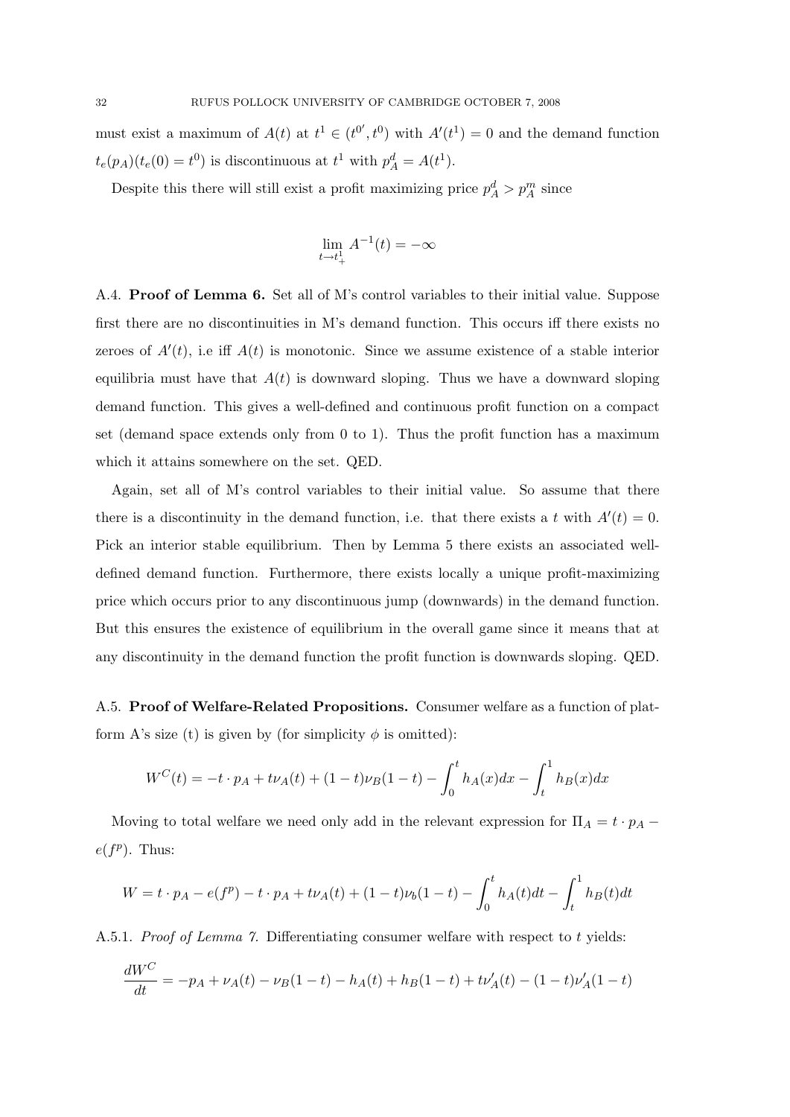must exist a maximum of  $A(t)$  at  $t^1 \in (t^{0'}, t^{0})$  with  $A'(t^1) = 0$  and the demand function  $t_e(p_A)(t_e(0) = t^0)$  is discontinuous at  $t^1$  with  $p_A^d = A(t^1)$ .

Despite this there will still exist a profit maximizing price  $p_A^d > p_A^m$  since

$$
\lim_{t \to t_+^1} A^{-1}(t) = -\infty
$$

A.4. Proof of Lemma 6. Set all of M's control variables to their initial value. Suppose first there are no discontinuities in M's demand function. This occurs iff there exists no zeroes of  $A'(t)$ , i.e iff  $A(t)$  is monotonic. Since we assume existence of a stable interior equilibria must have that  $A(t)$  is downward sloping. Thus we have a downward sloping demand function. This gives a well-defined and continuous profit function on a compact set (demand space extends only from 0 to 1). Thus the profit function has a maximum which it attains somewhere on the set. QED.

Again, set all of M's control variables to their initial value. So assume that there there is a discontinuity in the demand function, i.e. that there exists a t with  $A'(t) = 0$ . Pick an interior stable equilibrium. Then by Lemma 5 there exists an associated welldefined demand function. Furthermore, there exists locally a unique profit-maximizing price which occurs prior to any discontinuous jump (downwards) in the demand function. But this ensures the existence of equilibrium in the overall game since it means that at any discontinuity in the demand function the profit function is downwards sloping. QED.

A.5. Proof of Welfare-Related Propositions. Consumer welfare as a function of platform A's size (t) is given by (for simplicity  $\phi$  is omitted):

$$
W^{C}(t) = -t \cdot p_{A} + t \nu_{A}(t) + (1-t)\nu_{B}(1-t) - \int_{0}^{t} h_{A}(x)dx - \int_{t}^{1} h_{B}(x)dx
$$

Moving to total welfare we need only add in the relevant expression for  $\Pi_A = t \cdot p_A - t$  $e(f^p)$ . Thus:

$$
W = t \cdot p_A - e(f^p) - t \cdot p_A + t\nu_A(t) + (1 - t)\nu_b(1 - t) - \int_0^t h_A(t)dt - \int_t^1 h_B(t)dt
$$

A.5.1. Proof of Lemma 7. Differentiating consumer welfare with respect to t yields:

$$
\frac{dW^C}{dt} = -p_A + \nu_A(t) - \nu_B(1-t) - h_A(t) + h_B(1-t) + t\nu_A'(t) - (1-t)\nu_A'(1-t)
$$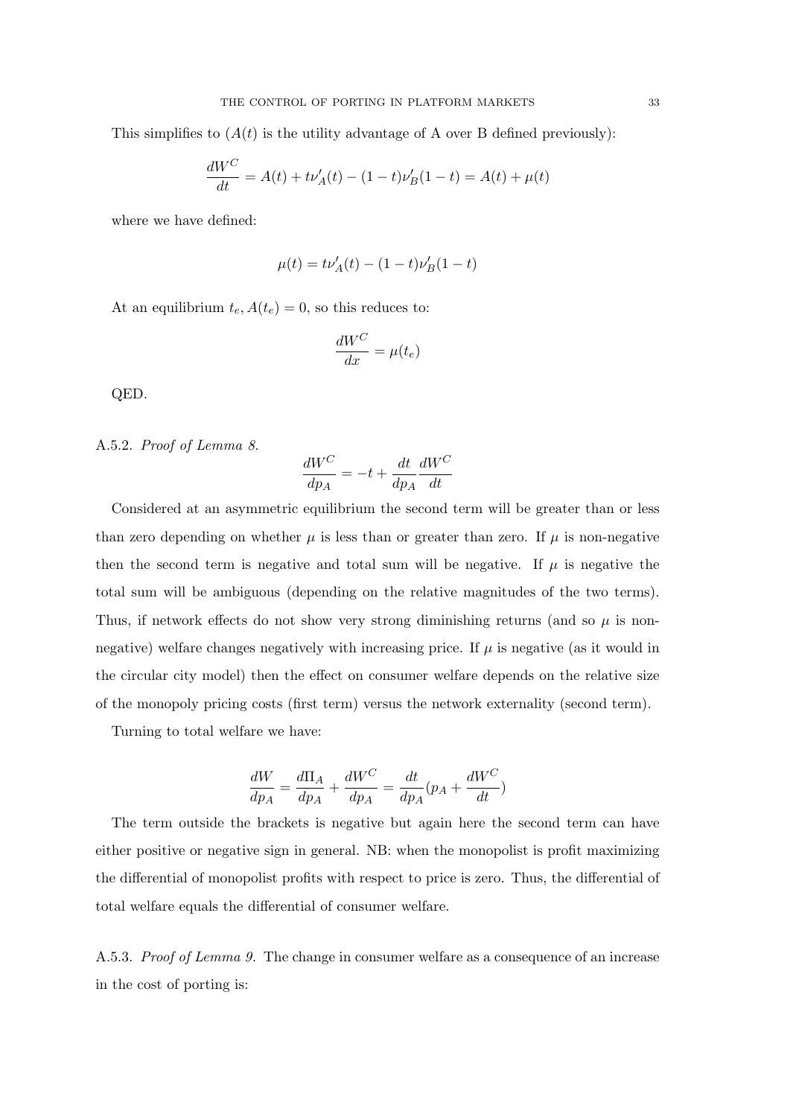This simplifies to  $(A(t))$  is the utility advantage of A over B defined previously):

$$
\frac{dW^C}{dt} = A(t) + t\nu'_A(t) - (1-t)\nu'_B(1-t) = A(t) + \mu(t)
$$

where we have defined:

$$
\mu(t) = t\nu_A'(t) - (1-t)\nu_B'(1-t)
$$

At an equilibrium  $t_e$ ,  $A(t_e) = 0$ , so this reduces to:

$$
\frac{dW^C}{dx} = \mu(t_e)
$$

QED.

A.5.2. Proof of Lemma 8.

$$
\frac{dW^C}{dp_A} = -t + \frac{dt}{dp_A}\frac{dW^C}{dt}
$$

Considered at an asymmetric equilibrium the second term will be greater than or less than zero depending on whether  $\mu$  is less than or greater than zero. If  $\mu$  is non-negative then the second term is negative and total sum will be negative. If  $\mu$  is negative the total sum will be ambiguous (depending on the relative magnitudes of the two terms). Thus, if network effects do not show very strong diminishing returns (and so  $\mu$  is nonnegative) welfare changes negatively with increasing price. If  $\mu$  is negative (as it would in the circular city model) then the effect on consumer welfare depends on the relative size of the monopoly pricing costs (first term) versus the network externality (second term).

Turning to total welfare we have:

$$
\frac{dW}{dp_A} = \frac{d\Pi_A}{dp_A} + \frac{dW^C}{dp_A} = \frac{dt}{dp_A}(p_A + \frac{dW^C}{dt})
$$

The term outside the brackets is negative but again here the second term can have either positive or negative sign in general. NB: when the monopolist is profit maximizing the differential of monopolist profits with respect to price is zero. Thus, the differential of total welfare equals the differential of consumer welfare.

A.5.3. Proof of Lemma 9. The change in consumer welfare as a consequence of an increase in the cost of porting is: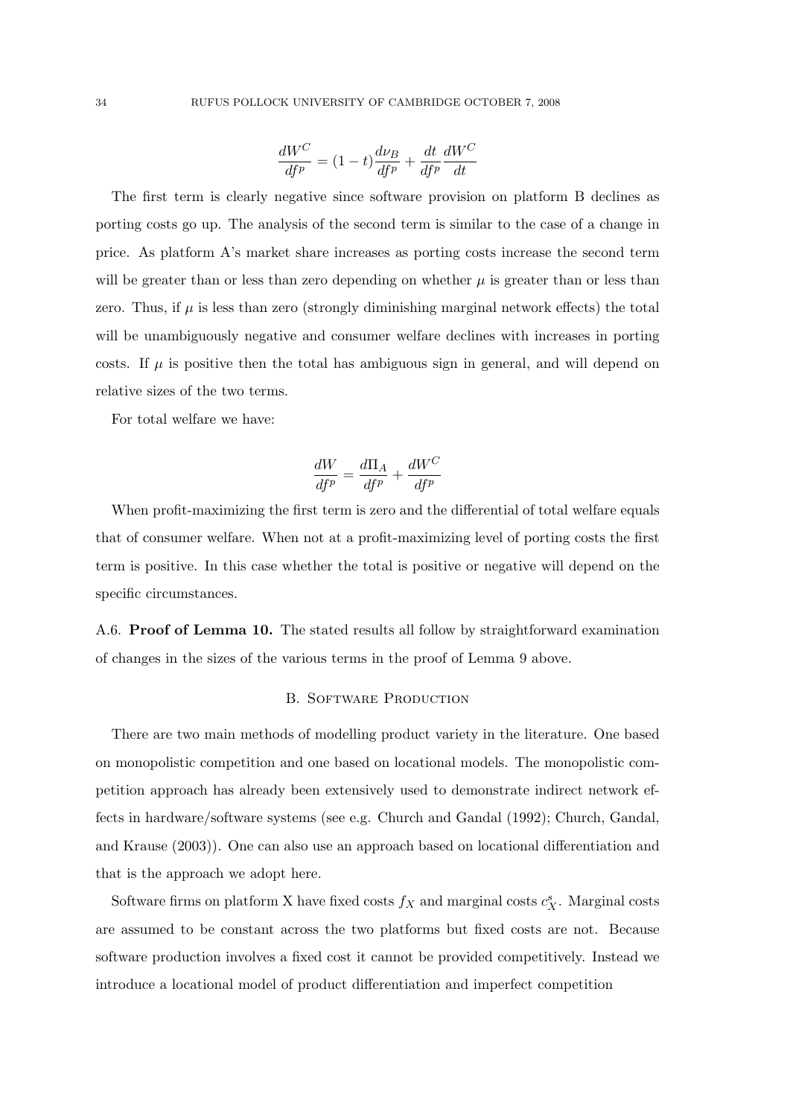$$
\frac{dW^C}{df^p} = (1-t)\frac{d\nu_B}{df^p} + \frac{dt}{df^p}\frac{dW^C}{dt}
$$

The first term is clearly negative since software provision on platform B declines as porting costs go up. The analysis of the second term is similar to the case of a change in price. As platform A's market share increases as porting costs increase the second term will be greater than or less than zero depending on whether  $\mu$  is greater than or less than zero. Thus, if  $\mu$  is less than zero (strongly diminishing marginal network effects) the total will be unambiguously negative and consumer welfare declines with increases in porting costs. If  $\mu$  is positive then the total has ambiguous sign in general, and will depend on relative sizes of the two terms.

For total welfare we have:

$$
\frac{dW}{df^p} = \frac{d\Pi_A}{df^p} + \frac{dW^C}{df^p}
$$

When profit-maximizing the first term is zero and the differential of total welfare equals that of consumer welfare. When not at a profit-maximizing level of porting costs the first term is positive. In this case whether the total is positive or negative will depend on the specific circumstances.

A.6. Proof of Lemma 10. The stated results all follow by straightforward examination of changes in the sizes of the various terms in the proof of Lemma 9 above.

#### B. SOFTWARE PRODUCTION

There are two main methods of modelling product variety in the literature. One based on monopolistic competition and one based on locational models. The monopolistic competition approach has already been extensively used to demonstrate indirect network effects in hardware/software systems (see e.g. Church and Gandal (1992); Church, Gandal, and Krause (2003)). One can also use an approach based on locational differentiation and that is the approach we adopt here.

Software firms on platform X have fixed costs  $f_X$  and marginal costs  $c_X^s$ . Marginal costs are assumed to be constant across the two platforms but fixed costs are not. Because software production involves a fixed cost it cannot be provided competitively. Instead we introduce a locational model of product differentiation and imperfect competition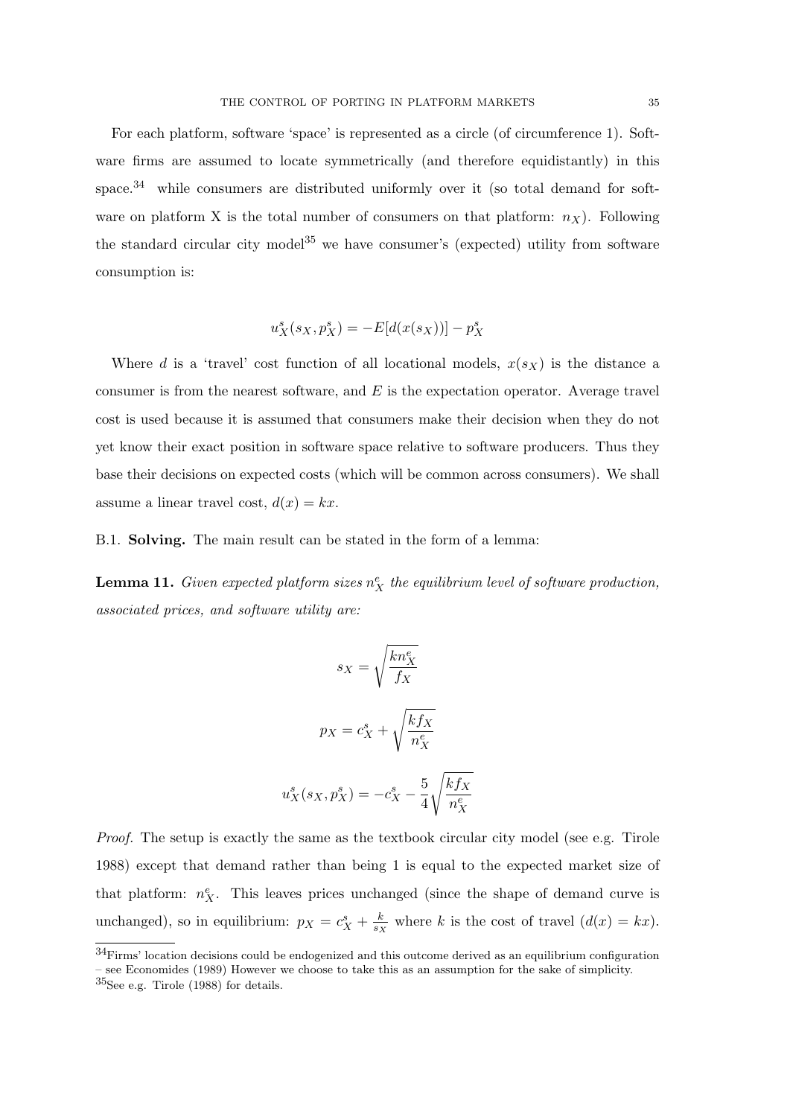For each platform, software 'space' is represented as a circle (of circumference 1). Software firms are assumed to locate symmetrically (and therefore equidistantly) in this space.<sup>34</sup> while consumers are distributed uniformly over it (so total demand for software on platform X is the total number of consumers on that platform:  $n_X$ ). Following the standard circular city model<sup>35</sup> we have consumer's (expected) utility from software consumption is:

$$
u_X^s(s_X, p_X^s) = -E[d(x(s_X))] - p_X^s
$$

Where d is a 'travel' cost function of all locational models,  $x(s_X)$  is the distance a consumer is from the nearest software, and  $E$  is the expectation operator. Average travel cost is used because it is assumed that consumers make their decision when they do not yet know their exact position in software space relative to software producers. Thus they base their decisions on expected costs (which will be common across consumers). We shall assume a linear travel cost,  $d(x) = kx$ .

B.1. Solving. The main result can be stated in the form of a lemma:

**Lemma 11.** Given expected platform sizes  $n_X^e$  the equilibrium level of software production, associated prices, and software utility are:

$$
s_X = \sqrt{\frac{kn_X^e}{f_X}}
$$

$$
p_X = c_X^s + \sqrt{\frac{kf_X}{n_X^e}}
$$

$$
u_X^s(s_X, p_X^s) = -c_X^s - \frac{5}{4} \sqrt{\frac{kf_X}{n_X^e}}
$$

Proof. The setup is exactly the same as the textbook circular city model (see e.g. Tirole 1988) except that demand rather than being 1 is equal to the expected market size of that platform:  $n_X^e$ . This leaves prices unchanged (since the shape of demand curve is unchanged), so in equilibrium:  $p_X = c_X^s + \frac{k}{s}$  $\frac{k}{s_X}$  where k is the cost of travel  $(d(x) = kx)$ .

 $34$ Firms' location decisions could be endogenized and this outcome derived as an equilibrium configuration – see Economides (1989) However we choose to take this as an assumption for the sake of simplicity.

<sup>35</sup>See e.g. Tirole (1988) for details.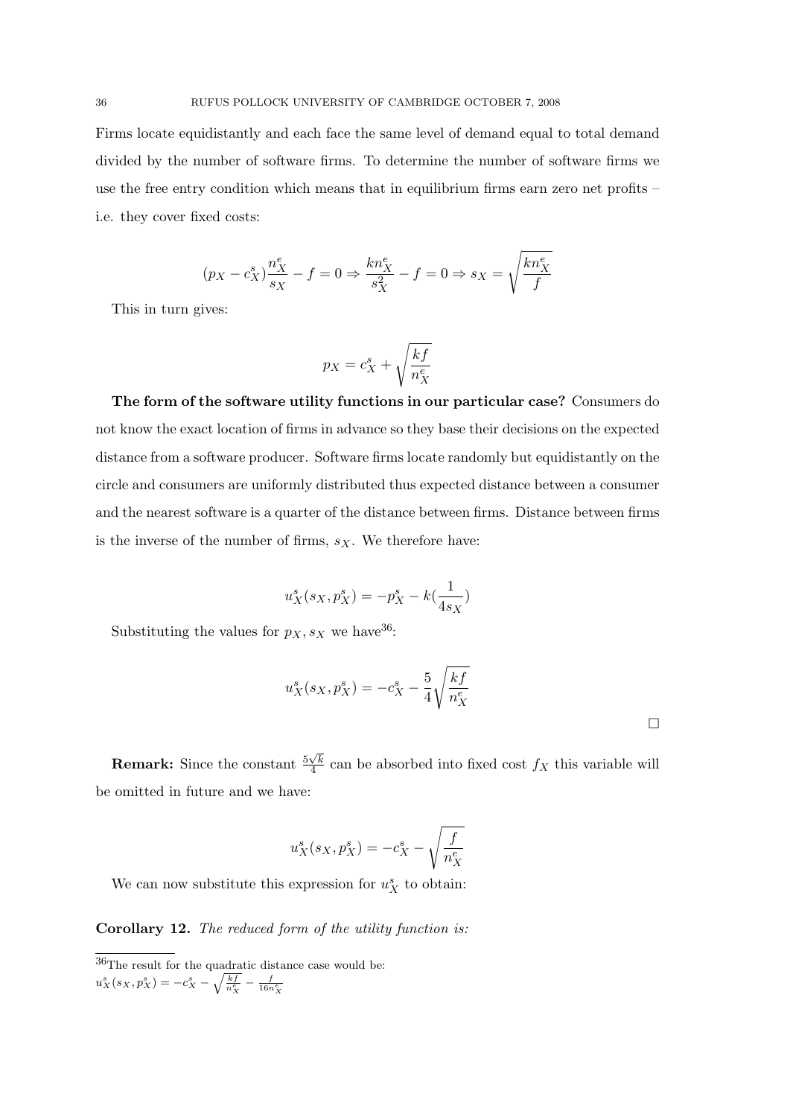Firms locate equidistantly and each face the same level of demand equal to total demand divided by the number of software firms. To determine the number of software firms we use the free entry condition which means that in equilibrium firms earn zero net profits – i.e. they cover fixed costs:

$$
(p_X-c_X^s)\frac{n_X^e}{s_X}-f=0\Rightarrow \frac{kn_X^e}{s_X^2}-f=0\Rightarrow s_X=\sqrt{\frac{kn_X^e}{f}}
$$

This in turn gives:

$$
p_X = c_X^s + \sqrt{\frac{kf}{n_X^e}}
$$

The form of the software utility functions in our particular case? Consumers do not know the exact location of firms in advance so they base their decisions on the expected distance from a software producer. Software firms locate randomly but equidistantly on the circle and consumers are uniformly distributed thus expected distance between a consumer and the nearest software is a quarter of the distance between firms. Distance between firms is the inverse of the number of firms,  $s_X$ . We therefore have:

$$
u_X^s(s_X, p_X^s) = -p_X^s - k(\frac{1}{4s_X})
$$

Substituting the values for  $p_X, s_X$  we have <sup>36</sup>:

$$
u_X^s(s_X, p_X^s) = -c_X^s - \frac{5}{4} \sqrt{\frac{kf}{n_X^e}}
$$

**Remark:** Since the constant  $\frac{5\sqrt{k}}{4}$  $\frac{\sqrt{k}}{4}$  can be absorbed into fixed cost  $f_X$  this variable will be omitted in future and we have:

$$
u_X^s(s_X,p_X^s)=-c_X^s-\sqrt{\frac{f}{n_X^e}}
$$

We can now substitute this expression for  $u_X^s$  to obtain:

Corollary 12. The reduced form of the utility function is:

 $36$ The result for the quadratic distance case would be:  $u_X^s(s_X, p_X^s) = -c_X^s - \sqrt{\frac{kf}{n_X^e}} - \frac{f}{16n_X^e}$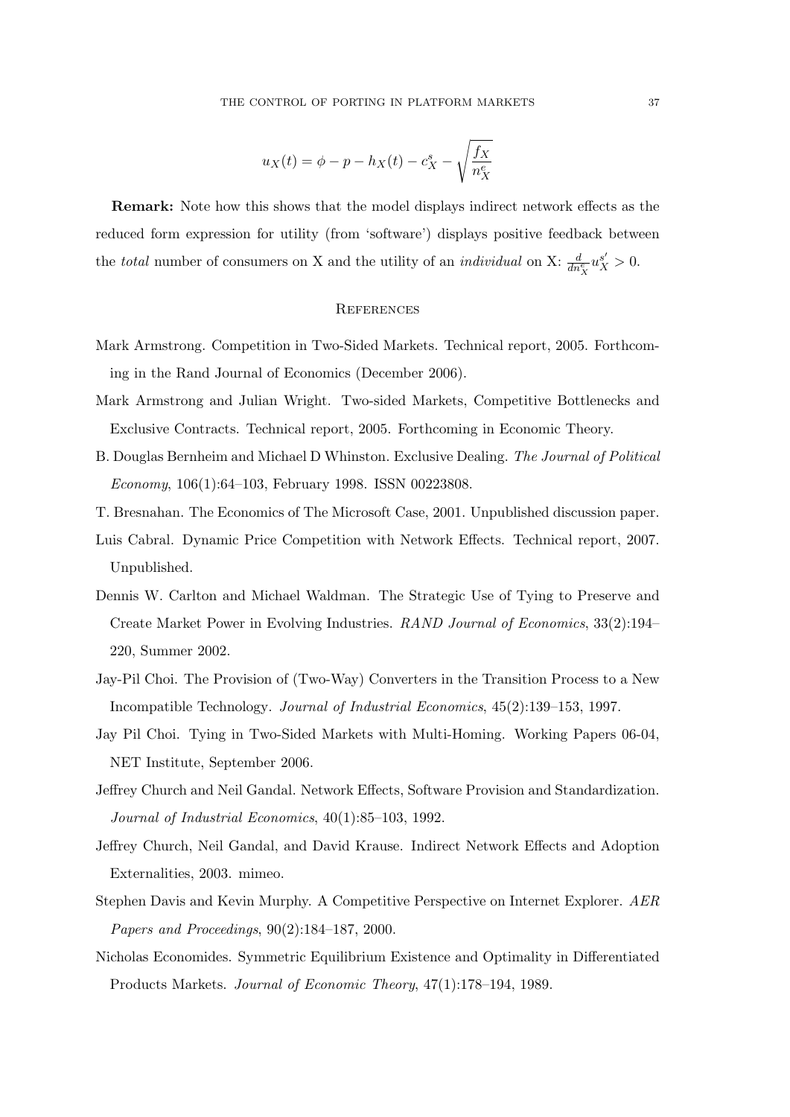$$
u_X(t) = \phi - p - h_X(t) - c_X^s - \sqrt{\frac{f_X}{n_X^e}}
$$

Remark: Note how this shows that the model displays indirect network effects as the reduced form expression for utility (from 'software') displays positive feedback between the *total* number of consumers on X and the utility of an *individual* on X:  $\frac{d}{dn_X^e} u_X^{s'} > 0$ .

### **REFERENCES**

- Mark Armstrong. Competition in Two-Sided Markets. Technical report, 2005. Forthcoming in the Rand Journal of Economics (December 2006).
- Mark Armstrong and Julian Wright. Two-sided Markets, Competitive Bottlenecks and Exclusive Contracts. Technical report, 2005. Forthcoming in Economic Theory.
- B. Douglas Bernheim and Michael D Whinston. Exclusive Dealing. The Journal of Political Economy, 106(1):64–103, February 1998. ISSN 00223808.
- T. Bresnahan. The Economics of The Microsoft Case, 2001. Unpublished discussion paper.
- Luis Cabral. Dynamic Price Competition with Network Effects. Technical report, 2007. Unpublished.
- Dennis W. Carlton and Michael Waldman. The Strategic Use of Tying to Preserve and Create Market Power in Evolving Industries. RAND Journal of Economics, 33(2):194– 220, Summer 2002.
- Jay-Pil Choi. The Provision of (Two-Way) Converters in the Transition Process to a New Incompatible Technology. Journal of Industrial Economics, 45(2):139–153, 1997.
- Jay Pil Choi. Tying in Two-Sided Markets with Multi-Homing. Working Papers 06-04, NET Institute, September 2006.
- Jeffrey Church and Neil Gandal. Network Effects, Software Provision and Standardization. Journal of Industrial Economics, 40(1):85–103, 1992.
- Jeffrey Church, Neil Gandal, and David Krause. Indirect Network Effects and Adoption Externalities, 2003. mimeo.
- Stephen Davis and Kevin Murphy. A Competitive Perspective on Internet Explorer. AER Papers and Proceedings, 90(2):184–187, 2000.
- Nicholas Economides. Symmetric Equilibrium Existence and Optimality in Differentiated Products Markets. Journal of Economic Theory, 47(1):178–194, 1989.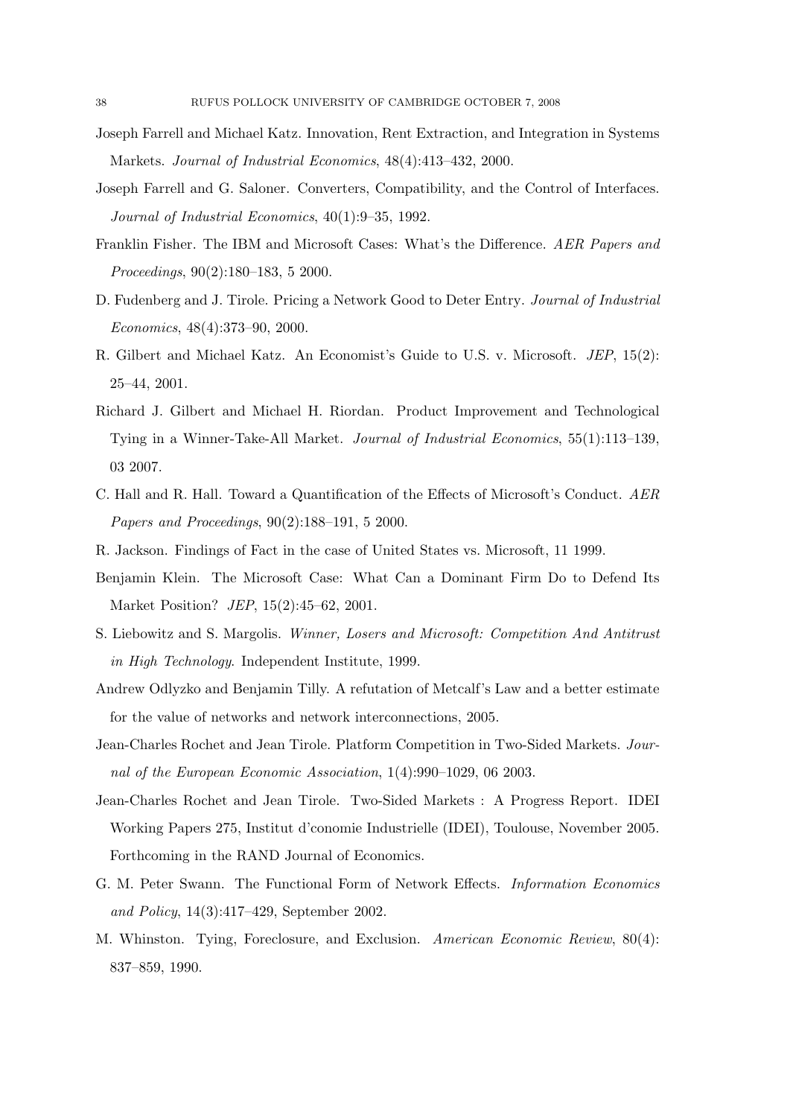- Joseph Farrell and Michael Katz. Innovation, Rent Extraction, and Integration in Systems Markets. Journal of Industrial Economics, 48(4):413–432, 2000.
- Joseph Farrell and G. Saloner. Converters, Compatibility, and the Control of Interfaces. Journal of Industrial Economics, 40(1):9–35, 1992.
- Franklin Fisher. The IBM and Microsoft Cases: What's the Difference. AER Papers and Proceedings, 90(2):180–183, 5 2000.
- D. Fudenberg and J. Tirole. Pricing a Network Good to Deter Entry. Journal of Industrial Economics, 48(4):373–90, 2000.
- R. Gilbert and Michael Katz. An Economist's Guide to U.S. v. Microsoft. JEP, 15(2): 25–44, 2001.
- Richard J. Gilbert and Michael H. Riordan. Product Improvement and Technological Tying in a Winner-Take-All Market. Journal of Industrial Economics, 55(1):113–139, 03 2007.
- C. Hall and R. Hall. Toward a Quantification of the Effects of Microsoft's Conduct. AER Papers and Proceedings, 90(2):188–191, 5 2000.
- R. Jackson. Findings of Fact in the case of United States vs. Microsoft, 11 1999.
- Benjamin Klein. The Microsoft Case: What Can a Dominant Firm Do to Defend Its Market Position? JEP, 15(2):45–62, 2001.
- S. Liebowitz and S. Margolis. Winner, Losers and Microsoft: Competition And Antitrust in High Technology. Independent Institute, 1999.
- Andrew Odlyzko and Benjamin Tilly. A refutation of Metcalf's Law and a better estimate for the value of networks and network interconnections, 2005.
- Jean-Charles Rochet and Jean Tirole. Platform Competition in Two-Sided Markets. Journal of the European Economic Association, 1(4):990–1029, 06 2003.
- Jean-Charles Rochet and Jean Tirole. Two-Sided Markets : A Progress Report. IDEI Working Papers 275, Institut d'conomie Industrielle (IDEI), Toulouse, November 2005. Forthcoming in the RAND Journal of Economics.
- G. M. Peter Swann. The Functional Form of Network Effects. Information Economics and Policy, 14(3):417–429, September 2002.
- M. Whinston. Tying, Foreclosure, and Exclusion. American Economic Review, 80(4): 837–859, 1990.